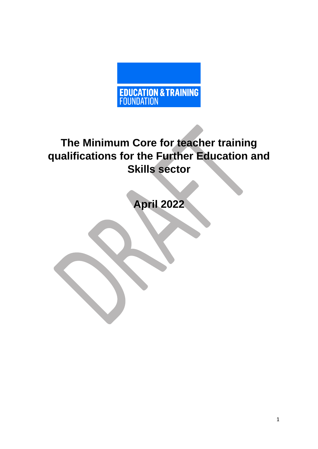

# **The Minimum Core for teacher training qualifications for the Further Education and Skills sector**

**April 2022**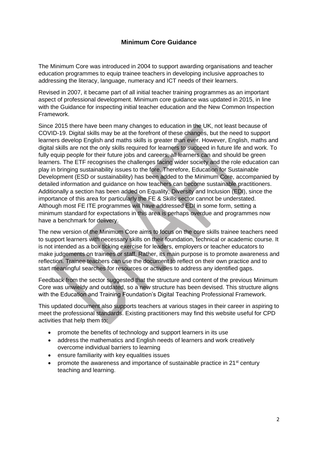# **Minimum Core Guidance**

The Minimum Core was introduced in 2004 to support awarding organisations and teacher education programmes to equip trainee teachers in developing inclusive approaches to addressing the literacy, language, numeracy and ICT needs of their learners.

Revised in 2007, it became part of all initial teacher training programmes as an important aspect of professional development. Minimum core guidance was updated in 2015, in line with the Guidance for inspecting initial teacher education and the New Common Inspection Framework.

Since 2015 there have been many changes to education in the UK, not least because of COVID-19. Digital skills may be at the forefront of these changes, but the need to support learners develop English and maths skills is greater than ever. However, English, maths and digital skills are not the only skills required for learners to succeed in future life and work. To fully equip people for their future jobs and careers, all learners can and should be green learners. The ETF recognises the challenges facing wider society and the role education can play in bringing sustainability issues to the fore. Therefore, Education for Sustainable Development (ESD or sustainability) has been added to the Minimum Core, accompanied by detailed information and guidance on how teachers can become sustainable practitioners. Additionally a section has been added on Equality, Diversity and Inclusion (EDI), since the importance of this area for particularly the FE & Skills sector cannot be understated. Although most FE ITE programmes will have addressed EDI in some form, setting a minimum standard for expectations in this area is perhaps overdue and programmes now have a benchmark for delivery.

The new version of the Minimum Core aims to focus on the core skills trainee teachers need to support learners with necessary skills on their foundation, technical or academic course. It is not intended as a box ticking exercise for leaders, employers or teacher educators to make judgements on trainees or staff. Rather, its main purpose is to promote awareness and reflection. Trainee teachers can use the document to reflect on their own practice and to start meaningful searches for resources or activities to address any identified gaps.

Feedback from the sector suggested that the structure and content of the previous Minimum Core was unwieldy and outdated, so a new structure has been devised. This structure aligns with the Education and Training Foundation's Digital Teaching Professional Framework.

This updated document also supports teachers at various stages in their career in aspiring to meet the professional standards. Existing practitioners may find this website useful for CPD activities that help them to:

- promote the benefits of technology and support learners in its use
- address the mathematics and English needs of learners and work creatively overcome individual barriers to learning
- ensure familiarity with key equalities issues
- promote the awareness and importance of sustainable practice in  $21<sup>st</sup>$  century teaching and learning.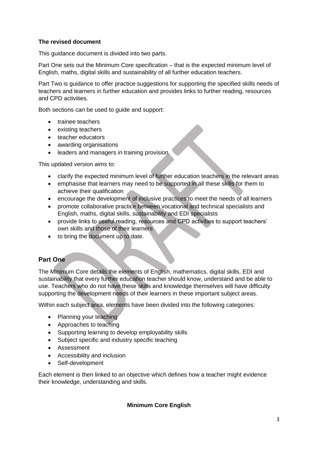#### **The revised document**

This guidance document is divided into two parts.

Part One sets out the Minimum Core specification – that is the expected minimum level of English, maths, digital skills and sustainability of all further education teachers.

Part Two is guidance to offer practice suggestions for supporting the specified skills needs of teachers and learners in further education and provides links to further reading, resources and CPD activities.

Both sections can be used to guide and support:

- trainee teachers
- existing teachers
- teacher educators
- awarding organisations
- leaders and managers in training provision.

This updated version aims to:

- clarify the expected minimum level of further education teachers in the relevant areas
- emphasise that learners may need to be supported in all these skills for them to achieve their qualification
- encourage the development of inclusive practices to meet the needs of all learners
- promote collaborative practice between vocational and technical specialists and English, maths, digital skills, sustainability and EDI specialists
- provide links to useful reading, resources and CPD activities to support teachers' own skills and those of their learners
- to bring the document up to date.

### **Part One**

The Minimum Core details the elements of English, mathematics, digital skills, EDI and sustainability that every further education teacher should know, understand and be able to use. Teachers who do not have these skills and knowledge themselves will have difficulty supporting the development needs of their learners in these important subject areas.

Within each subject area, elements have been divided into the following categories:

- Planning your teaching
- Approaches to teaching
- Supporting learning to develop employability skills
- Subject specific and industry specific teaching
- Assessment
- Accessibility and inclusion
- Self-development

Each element is then linked to an objective which defines how a teacher might evidence their knowledge, understanding and skills.

### **Minimum Core English**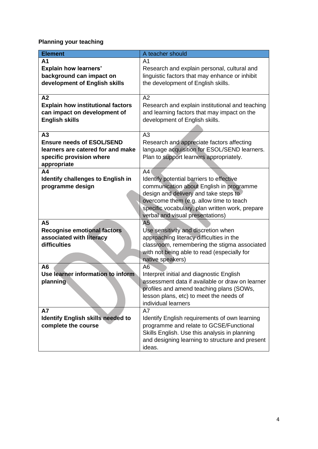**Planning your teaching**

| <b>Element</b>                                                                                                         | A teacher should                                                                                                                                                                                                                                                      |
|------------------------------------------------------------------------------------------------------------------------|-----------------------------------------------------------------------------------------------------------------------------------------------------------------------------------------------------------------------------------------------------------------------|
| A <sub>1</sub><br><b>Explain how learners'</b><br>background can impact on<br>development of English skills            | A1<br>Research and explain personal, cultural and<br>linguistic factors that may enhance or inhibit<br>the development of English skills.                                                                                                                             |
| A2<br><b>Explain how institutional factors</b><br>can impact on development of<br><b>English skills</b>                | A2<br>Research and explain institutional and teaching<br>and learning factors that may impact on the<br>development of English skills.                                                                                                                                |
| A3<br><b>Ensure needs of ESOL/SEND</b><br>learners are catered for and make<br>specific provision where<br>appropriate | A3<br>Research and appreciate factors affecting<br>language acquisition for ESOL/SEND learners.<br>Plan to support learners appropriately.                                                                                                                            |
| A <sub>4</sub><br><b>Identify challenges to English in</b><br>programme design                                         | A4<br>Identify potential barriers to effective<br>communication about English in programme<br>design and delivery and take steps to<br>overcome them (e.g. allow time to teach<br>specific vocabulary, plan written work, prepare<br>verbal and visual presentations) |
| A5<br><b>Recognise emotional factors</b><br>associated with literacy<br>difficulties                                   | A5<br>Use sensitivity and discretion when<br>approaching literacy difficulties in the<br>classroom, remembering the stigma associated<br>with not being able to read (especially for<br>native speakers)                                                              |
| A <sub>6</sub><br>Use learner information to inform<br>planning                                                        | A6<br>Interpret initial and diagnostic English<br>assessment data if available or draw on learner<br>profiles and amend teaching plans (SOWs,<br>lesson plans, etc) to meet the needs of<br>individual learners                                                       |
| <b>A7</b><br><b>Identify English skills needed to</b><br>complete the course                                           | A7<br>Identify English requirements of own learning<br>programme and relate to GCSE/Functional<br>Skills English. Use this analysis in planning<br>and designing learning to structure and present<br>ideas.                                                          |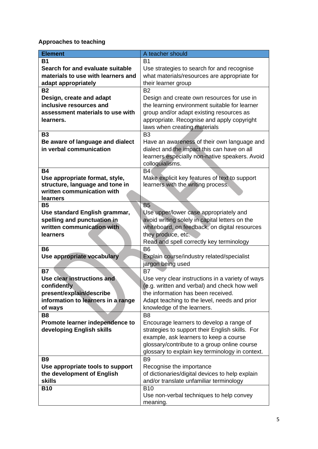# **Approaches to teaching**

| <b>Element</b>                     | A teacher should                                 |
|------------------------------------|--------------------------------------------------|
| <b>B1</b>                          | B1                                               |
| Search for and evaluate suitable   | Use strategies to search for and recognise       |
| materials to use with learners and | what materials/resources are appropriate for     |
| adapt appropriately                | their learner group                              |
| <b>B2</b>                          | <b>B2</b>                                        |
| Design, create and adapt           | Design and create own resources for use in       |
| inclusive resources and            | the learning environment suitable for learner    |
| assessment materials to use with   | group and/or adapt existing resources as         |
| learners.                          | appropriate. Recognise and apply copyright       |
|                                    | laws when creating materials                     |
| <b>B3</b>                          | B <sub>3</sub>                                   |
| Be aware of language and dialect   | Have an awareness of their own language and      |
| in verbal communication            | dialect and the impact this can have on all      |
|                                    | learners especially non-native speakers. Avoid   |
|                                    | colloquialisms.                                  |
| <b>B4</b>                          | B4(                                              |
| Use appropriate format, style,     | Make explicit key features of text to support    |
| structure, language and tone in    | learners with the writing process.               |
| written communication with         |                                                  |
| <b>learners</b>                    |                                                  |
| <b>B5</b>                          | <b>B5</b>                                        |
| Use standard English grammar,      | Use upper/lower case appropriately and           |
| spelling and punctuation in        | avoid writing solely in capital letters on the   |
| written communication with         | whiteboard, on feedback, on digital resources    |
| learners                           | they produce, etc.                               |
|                                    | Read and spell correctly key terminology         |
| <b>B6</b>                          | B <sub>6</sub>                                   |
| Use appropriate vocabulary         | Explain course/industry related/specialist       |
|                                    | jargon being used                                |
| <b>B7</b>                          | <b>B7</b>                                        |
| Use clear instructions and         | Use very clear instructions in a variety of ways |
| confidently                        | (e.g. written and verbal) and check how well     |
| present/explain/describe           | the information has been received.               |
| information to learners in a range | Adapt teaching to the level, needs and prior     |
| of ways                            | knowledge of the learners.                       |
| B <sub>8</sub>                     | B <sub>8</sub>                                   |
| Promote learner independence to    | Encourage learners to develop a range of         |
| developing English skills          | strategies to support their English skills. For  |
|                                    | example, ask learners to keep a course           |
|                                    | glossary/contribute to a group online course     |
|                                    | glossary to explain key terminology in context.  |
| <b>B9</b>                          | B <sub>9</sub>                                   |
| Use appropriate tools to support   | Recognise the importance                         |
| the development of English         | of dictionaries/digital devices to help explain  |
| <b>skills</b>                      | and/or translate unfamiliar terminology          |
| <b>B10</b>                         | <b>B10</b>                                       |
|                                    | Use non-verbal techniques to help convey         |
|                                    | meaning.                                         |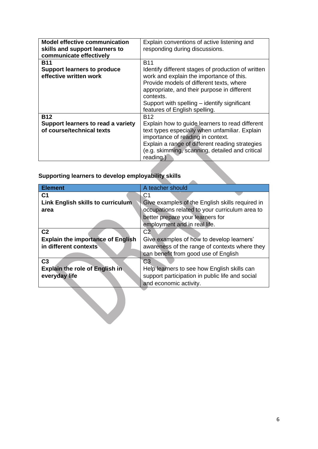| <b>Model effective communication</b><br>skills and support learners to<br>communicate effectively | Explain conventions of active listening and<br>responding during discussions.                                                                                                                                                                             |
|---------------------------------------------------------------------------------------------------|-----------------------------------------------------------------------------------------------------------------------------------------------------------------------------------------------------------------------------------------------------------|
| <b>B11</b>                                                                                        | <b>B11</b>                                                                                                                                                                                                                                                |
| <b>Support learners to produce</b><br>effective written work                                      | Identify different stages of production of written<br>work and explain the importance of this.<br>Provide models of different texts, where<br>appropriate, and their purpose in different                                                                 |
|                                                                                                   | contexts.                                                                                                                                                                                                                                                 |
|                                                                                                   | Support with spelling – identify significant<br>features of English spelling.                                                                                                                                                                             |
| <b>B12</b>                                                                                        | B12                                                                                                                                                                                                                                                       |
| Support learners to read a variety<br>of course/technical texts                                   | Explain how to guide learners to read different<br>text types especially when unfamiliar. Explain<br>importance of reading in context.<br>Explain a range of different reading strategies<br>(e.g. skimming, scanning, detailed and critical<br>reading.) |

# **Supporting learners to develop employability skills**

| <b>Element</b>                           | A teacher should                                |
|------------------------------------------|-------------------------------------------------|
| C <sub>1</sub>                           | C1                                              |
| Link English skills to curriculum        | Give examples of the English skills required in |
| area                                     | occupations related to your curriculum area to  |
|                                          | better prepare your learners for                |
|                                          | employment and in real life.                    |
| C <sub>2</sub>                           | C <sub>2</sub>                                  |
| <b>Explain the importance of English</b> | Give examples of how to develop learners'       |
| in different contexts                    | awareness of the range of contexts where they   |
|                                          | can benefit from good use of English            |
| C <sub>3</sub>                           | C3                                              |
| Explain the role of English in           | Help learners to see how English skills can     |
| everyday life                            | support participation in public life and social |
|                                          | and economic activity.                          |
|                                          |                                                 |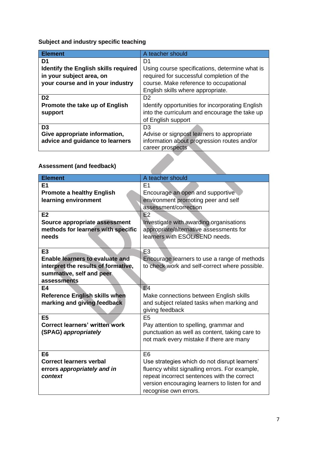**Subject and industry specific teaching**

| <b>Element</b>                              | A teacher should                                 |
|---------------------------------------------|--------------------------------------------------|
| D1                                          | D1                                               |
| <b>Identify the English skills required</b> | Using course specifications, determine what is   |
| in your subject area, on                    | required for successful completion of the        |
| your course and in your industry            | course. Make reference to occupational           |
|                                             | English skills where appropriate.                |
| D <sub>2</sub>                              | D <sub>2</sub>                                   |
| Promote the take up of English              | Identify opportunities for incorporating English |
| support                                     | into the curriculum and encourage the take up    |
|                                             | of English support                               |
| D <sub>3</sub>                              | D3                                               |
| Give appropriate information,               | Advise or signpost learners to appropriate       |
| advice and guidance to learners             | information about progression routes and/or      |
|                                             | career prospects                                 |
|                                             |                                                  |
| <b>Assessment (and feedback)</b>            |                                                  |

# **Assessment (and feedback)**

| <b>Element</b>                         | A teacher should                               |
|----------------------------------------|------------------------------------------------|
| E <sub>1</sub>                         | E1                                             |
| <b>Promote a healthy English</b>       | Encourage an open and supportive               |
| learning environment                   | environment promoting peer and self            |
|                                        | assessment/correction                          |
| E2                                     | E2                                             |
| Source appropriate assessment          | Investigate with awarding organisations        |
| methods for learners with specific     | appropriate/alternative assessments for        |
| needs                                  | learners with ESOL/SEND needs.                 |
|                                        |                                                |
| E <sub>3</sub>                         | E <sub>3</sub>                                 |
| <b>Enable learners to evaluate and</b> | Encourage learners to use a range of methods   |
| interpret the results of formative,    | to check work and self-correct where possible. |
| summative, self and peer               |                                                |
| assessments                            |                                                |
| E4                                     | E4                                             |
| <b>Reference English skills when</b>   | Make connections between English skills        |
| marking and giving feedback            | and subject related tasks when marking and     |
|                                        | giving feedback                                |
| E <sub>5</sub>                         | E <sub>5</sub>                                 |
| <b>Correct learners' written work</b>  | Pay attention to spelling, grammar and         |
| (SPAG) appropriately                   | punctuation as well as content, taking care to |
|                                        | not mark every mistake if there are many       |
|                                        |                                                |
| E <sub>6</sub>                         | E <sub>6</sub>                                 |
| <b>Correct learners verbal</b>         | Use strategies which do not disrupt learners'  |
| errors appropriately and in            | fluency whilst signalling errors. For example, |
| context                                | repeat incorrect sentences with the correct    |
|                                        | version encouraging learners to listen for and |
|                                        | recognise own errors.                          |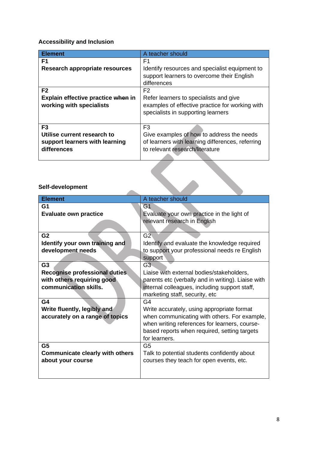# **Accessibility and Inclusion**

| <b>Element</b>                     | A teacher should                                 |
|------------------------------------|--------------------------------------------------|
| F1                                 | F1                                               |
| Research appropriate resources     | Identify resources and specialist equipment to   |
|                                    | support learners to overcome their English       |
|                                    | differences                                      |
| F <sub>2</sub>                     | F <sub>2</sub>                                   |
| Explain effective practice when in | Refer learners to specialists and give           |
| working with specialists           | examples of effective practice for working with  |
|                                    | specialists in supporting learners               |
|                                    |                                                  |
| F <sub>3</sub>                     | F <sub>3</sub>                                   |
| Utilise current research to        | Give examples of how to address the needs        |
| support learners with learning     | of learners with learning differences, referring |
| differences                        | to relevant research/literature                  |
|                                    |                                                  |
| Self-development                   |                                                  |

# **Self-development**

| <b>Element</b>                         | A teacher should                                   |
|----------------------------------------|----------------------------------------------------|
| G1                                     | G1                                                 |
| <b>Evaluate own practice</b>           | Evaluate your own practice in the light of         |
|                                        | relevant research in English                       |
|                                        |                                                    |
| G <sub>2</sub>                         | G2                                                 |
| Identify your own training and         | Identify and evaluate the knowledge required       |
| development needs                      | to support your professional needs re English      |
|                                        |                                                    |
|                                        | support                                            |
| G <sub>3</sub>                         | G3                                                 |
| <b>Recognise professional duties</b>   | Liaise with external bodies/stakeholders,          |
| with others requiring good             | parents etc (verbally and in writing). Liaise with |
| communication skills.                  | internal colleagues, including support staff,      |
|                                        | marketing staff, security, etc                     |
| G4                                     | G <sub>4</sub>                                     |
| Write fluently, legibly and            | Write accurately, using appropriate format         |
| accurately on a range of topics        | when communicating with others. For example,       |
|                                        | when writing references for learners, course-      |
|                                        | based reports when required, setting targets       |
|                                        | for learners.                                      |
|                                        |                                                    |
| G <sub>5</sub>                         | G5                                                 |
| <b>Communicate clearly with others</b> | Talk to potential students confidently about       |
| about your course                      | courses they teach for open events, etc.           |
|                                        |                                                    |
|                                        |                                                    |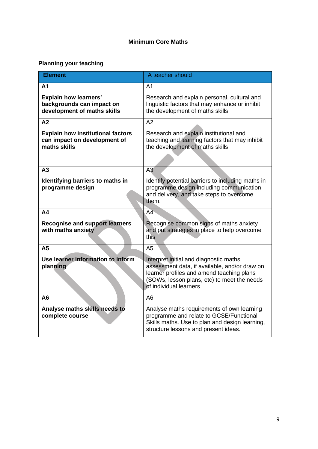# **Minimum Core Maths**

# **Planning your teaching**

| <b>Element</b>                                                                           | A teacher should                                                                                                                                                                                              |
|------------------------------------------------------------------------------------------|---------------------------------------------------------------------------------------------------------------------------------------------------------------------------------------------------------------|
| A <sub>1</sub>                                                                           | A <sub>1</sub>                                                                                                                                                                                                |
| <b>Explain how learners'</b><br>backgrounds can impact on<br>development of maths skills | Research and explain personal, cultural and<br>linguistic factors that may enhance or inhibit<br>the development of maths skills                                                                              |
| A2                                                                                       | A2                                                                                                                                                                                                            |
| <b>Explain how institutional factors</b><br>can impact on development of<br>maths skills | Research and explain institutional and<br>teaching and learning factors that may inhibit<br>the development of maths skills                                                                                   |
| A3                                                                                       | A3                                                                                                                                                                                                            |
| Identifying barriers to maths in<br>programme design                                     | Identify potential barriers to including maths in<br>programme design including communication<br>and delivery, and take steps to overcome<br>them.                                                            |
| A4                                                                                       | $A\overline{4}$                                                                                                                                                                                               |
| <b>Recognise and support learners</b><br>with maths anxiety                              | Recognise common signs of maths anxiety<br>and put strategies in place to help overcome<br>this                                                                                                               |
| A <sub>5</sub>                                                                           | A <sub>5</sub>                                                                                                                                                                                                |
| Use learner information to inform<br>planning                                            | Interpret initial and diagnostic maths<br>assessment data, if available, and/or draw on<br>learner profiles and amend teaching plans<br>(SOWs, lesson plans, etc) to meet the needs<br>of individual learners |
| A <sub>6</sub>                                                                           | A <sub>6</sub>                                                                                                                                                                                                |
| Analyse maths skills needs to<br>complete course                                         | Analyse maths requirements of own learning<br>programme and relate to GCSE/Functional<br>Skills maths. Use to plan and design learning,<br>structure lessons and present ideas.                               |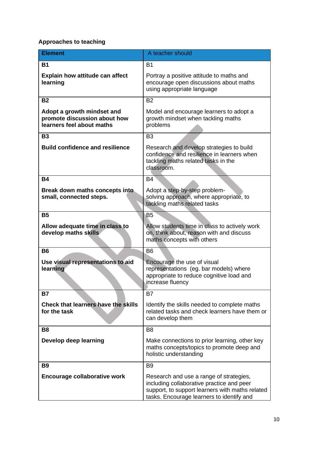# **Approaches to teaching**

| <b>Element</b>                                                                          | A teacher should                                                                                                                                                                     |
|-----------------------------------------------------------------------------------------|--------------------------------------------------------------------------------------------------------------------------------------------------------------------------------------|
| <b>B1</b>                                                                               | <b>B1</b>                                                                                                                                                                            |
| <b>Explain how attitude can affect</b><br>learning                                      | Portray a positive attitude to maths and<br>encourage open discussions about maths<br>using appropriate language                                                                     |
| <b>B2</b>                                                                               | B <sub>2</sub>                                                                                                                                                                       |
| Adopt a growth mindset and<br>promote discussion about how<br>learners feel about maths | Model and encourage learners to adopt a<br>growth mindset when tackling maths<br>problems                                                                                            |
| <b>B3</b>                                                                               | B <sub>3</sub>                                                                                                                                                                       |
| <b>Build confidence and resilience</b>                                                  | Research and develop strategies to build<br>confidence and resilience in learners when<br>tackling maths related tasks in the<br>classroom.                                          |
| <b>B4</b>                                                                               | <b>B4</b>                                                                                                                                                                            |
| Break down maths concepts into<br>small, connected steps.                               | Adopt a step-by-step problem-<br>solving approach, where appropriate, to<br>tackling maths related tasks                                                                             |
| <b>B5</b>                                                                               | B5                                                                                                                                                                                   |
| Allow adequate time in class to<br>develop maths skills                                 | Allow students time in class to actively work<br>on, think about, reason with and discuss<br>maths concepts with others                                                              |
| <b>B6</b>                                                                               | B <sub>6</sub>                                                                                                                                                                       |
| Use visual representations to aid<br>learning                                           | Encourage the use of visual<br>representations (eg. bar models) where<br>appropriate to reduce cognitive load and<br>increase fluency                                                |
| <b>B7</b>                                                                               | B7                                                                                                                                                                                   |
| <b>Check that learners have the skills</b><br>for the task                              | Identify the skills needed to complete maths<br>related tasks and check learners have them or<br>can develop them                                                                    |
| B <sub>8</sub>                                                                          | B <sub>8</sub>                                                                                                                                                                       |
| Develop deep learning                                                                   | Make connections to prior learning, other key<br>maths concepts/topics to promote deep and<br>holistic understanding                                                                 |
| <b>B9</b>                                                                               | B <sub>9</sub>                                                                                                                                                                       |
| <b>Encourage collaborative work</b>                                                     | Research and use a range of strategies,<br>including collaborative practice and peer<br>support, to support learners with maths related<br>tasks. Encourage learners to identify and |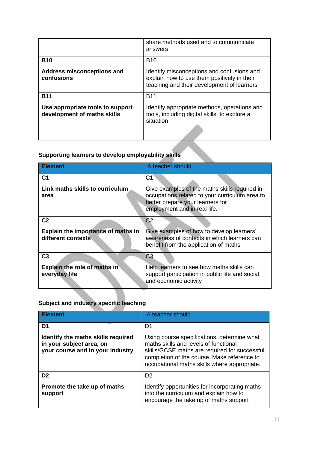|                                                                 | share methods used and to communicate<br>answers                                                                                        |
|-----------------------------------------------------------------|-----------------------------------------------------------------------------------------------------------------------------------------|
| <b>B10</b>                                                      | <b>B10</b>                                                                                                                              |
| <b>Address misconceptions and</b><br>confusions                 | Identify misconceptions and confusions and<br>explain how to use them positively in their<br>teaching and their development of learners |
| <b>B11</b>                                                      | <b>B11</b>                                                                                                                              |
| Use appropriate tools to support<br>development of maths skills | Identify appropriate methods, operations and<br>tools, including digital skills, to explore a<br>situation                              |

# **Supporting learners to develop employability skills**

| <b>Element</b>                                                             | A teacher should                                                                                                                                                          |
|----------------------------------------------------------------------------|---------------------------------------------------------------------------------------------------------------------------------------------------------------------------|
| C <sub>1</sub><br>Link maths skills to curriculum<br>area                  | C1<br>Give examples of the maths skills required in<br>occupations related to your curriculum area to<br>better prepare your learners for<br>employment and in real life. |
| C <sub>2</sub><br>Explain the importance of maths in<br>different contexts | C <sub>2</sub><br>Give examples of how to develop learners'<br>awareness of contexts in which learners can<br>benefit from the application of maths                       |
| C <sub>3</sub><br>Explain the role of maths in<br>everyday life            | C <sub>3</sub><br>Help learners to see how maths skills can<br>support participation in public life and social<br>and economic activity                                   |

# **Subject and industry specific teaching**

| <b>Element</b>                                                                                     | A teacher should                                                                                                                                                                                                                     |
|----------------------------------------------------------------------------------------------------|--------------------------------------------------------------------------------------------------------------------------------------------------------------------------------------------------------------------------------------|
| D1                                                                                                 | D1                                                                                                                                                                                                                                   |
| Identify the maths skills required<br>in your subject area, on<br>your course and in your industry | Using course specifications, determine what<br>maths skills and levels of functional<br>skills/GCSE maths are required for successful<br>completion of the course. Make reference to<br>occupational maths skills where appropriate. |
| D <sub>2</sub>                                                                                     | D <sub>2</sub>                                                                                                                                                                                                                       |
| Promote the take up of maths<br>support                                                            | Identify opportunities for incorporating maths<br>into the curriculum and explain how to<br>encourage the take up of maths support                                                                                                   |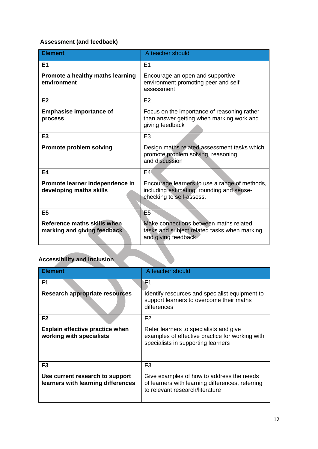# **Assessment (and feedback)**

| <b>Element</b>                                             | A teacher should                                                                                                       |
|------------------------------------------------------------|------------------------------------------------------------------------------------------------------------------------|
| E1                                                         | E <sub>1</sub>                                                                                                         |
| Promote a healthy maths learning<br>environment            | Encourage an open and supportive<br>environment promoting peer and self<br>assessment                                  |
| E <sub>2</sub>                                             | E2                                                                                                                     |
| <b>Emphasise importance of</b><br>process                  | Focus on the importance of reasoning rather<br>than answer getting when marking work and<br>giving feedback            |
| E <sub>3</sub>                                             | E <sub>3</sub>                                                                                                         |
| <b>Promote problem solving</b>                             | Design maths related assessment tasks which<br>promote problem solving, reasoning<br>and discussion                    |
| E4                                                         | E4(                                                                                                                    |
| Promote learner independence in<br>developing maths skills | Encourage learners to use a range of methods,<br>including estimating, rounding and sense-<br>checking to self-assess. |
| E <sub>5</sub>                                             | E <sub>5</sub>                                                                                                         |
| Reference maths skills when<br>marking and giving feedback | Make connections between maths related<br>tasks and subject related tasks when marking<br>and giving feedback          |

# **Accessibility and Inclusion**

| ∣ Element                                                             | A teacher should                                                                                                                 |
|-----------------------------------------------------------------------|----------------------------------------------------------------------------------------------------------------------------------|
| F1                                                                    | F1                                                                                                                               |
| <b>Research appropriate resources</b>                                 | Identify resources and specialist equipment to<br>support learners to overcome their maths<br>differences                        |
| F <sub>2</sub>                                                        | F <sub>2</sub>                                                                                                                   |
| <b>Explain effective practice when</b><br>working with specialists    | Refer learners to specialists and give<br>examples of effective practice for working with<br>specialists in supporting learners  |
| F <sub>3</sub>                                                        | F <sub>3</sub>                                                                                                                   |
| Use current research to support<br>learners with learning differences | Give examples of how to address the needs<br>of learners with learning differences, referring<br>to relevant research/literature |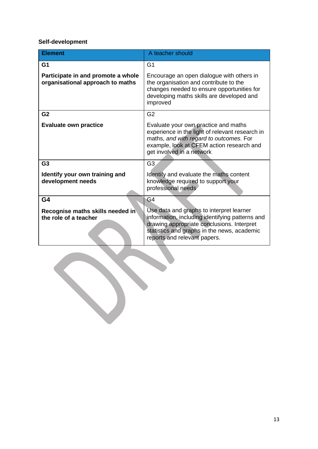# **Self-development**

| <b>Element</b>                                                         | A teacher should                                                                                                                                                                                                         |
|------------------------------------------------------------------------|--------------------------------------------------------------------------------------------------------------------------------------------------------------------------------------------------------------------------|
| G <sub>1</sub>                                                         | G1                                                                                                                                                                                                                       |
| Participate in and promote a whole<br>organisational approach to maths | Encourage an open dialogue with others in<br>the organisation and contribute to the<br>changes needed to ensure opportunities for<br>developing maths skills are developed and<br>improved                               |
| G <sub>2</sub>                                                         | G <sub>2</sub>                                                                                                                                                                                                           |
| <b>Evaluate own practice</b>                                           | Evaluate your own practice and maths<br>experience in the light of relevant research in<br>maths, and with regard to outcomes. For<br>example, look at CFEM action research and<br>get involved in a network             |
| G <sub>3</sub>                                                         | G <sub>3</sub>                                                                                                                                                                                                           |
| Identify your own training and<br>development needs                    | Identify and evaluate the maths content<br>knowledge required to support your<br>professional needs                                                                                                                      |
| G4                                                                     | G4                                                                                                                                                                                                                       |
| Recognise maths skills needed in<br>the role of a teacher              | Use data and graphs to interpret learner<br>information, including identifying patterns and<br>drawing appropriate conclusions. Interpret<br>statistics and graphs in the news, academic<br>reports and relevant papers. |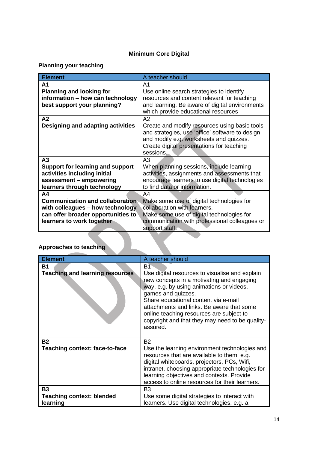# **Minimum Core Digital**

# **Planning your teaching**

| <b>Element</b>                          | A teacher should                                                                                                                                                                                      |
|-----------------------------------------|-------------------------------------------------------------------------------------------------------------------------------------------------------------------------------------------------------|
| A1                                      | A <sub>1</sub>                                                                                                                                                                                        |
| <b>Planning and looking for</b>         | Use online search strategies to identify                                                                                                                                                              |
| information - how can technology        | resources and content relevant for teaching                                                                                                                                                           |
| best support your planning?             | and learning. Be aware of digital environments                                                                                                                                                        |
|                                         | which provide educational resources                                                                                                                                                                   |
| A2                                      | A2                                                                                                                                                                                                    |
| Designing and adapting activities       | Create and modify resources using basic tools<br>and strategies, use 'office' software to design<br>and modify e.g. worksheets and quizzes.<br>Create digital presentations for teaching<br>sessions. |
| A3                                      | A <sub>3</sub>                                                                                                                                                                                        |
| <b>Support for learning and support</b> | When planning sessions, include learning                                                                                                                                                              |
| activities including initial            | activities, assignments and assessments that                                                                                                                                                          |
| assessment - empowering                 | encourage learners to use digital technologies                                                                                                                                                        |
| learners through technology             | to find data or information.                                                                                                                                                                          |
| A <sub>4</sub>                          | A <sub>4</sub>                                                                                                                                                                                        |
| <b>Communication and collaboration</b>  | Make some use of digital technologies for                                                                                                                                                             |
| with colleagues - how technology        | collaboration with learners.                                                                                                                                                                          |
| can offer broader opportunities to      | Make some use of digital technologies for                                                                                                                                                             |
| learners to work together               | communication with professional colleagues or                                                                                                                                                         |
|                                         | support staff.                                                                                                                                                                                        |
|                                         |                                                                                                                                                                                                       |
| <b>Approaches to teaching</b>           |                                                                                                                                                                                                       |

# **Approaches to teaching**

| <b>Element</b>                               | A teacher should                                                                                                                                                                                                                                                                                                                                              |
|----------------------------------------------|---------------------------------------------------------------------------------------------------------------------------------------------------------------------------------------------------------------------------------------------------------------------------------------------------------------------------------------------------------------|
| <b>B1</b>                                    | Bſ                                                                                                                                                                                                                                                                                                                                                            |
| <b>Teaching and learning resources</b>       | Use digital resources to visualise and explain<br>new concepts in a motivating and engaging<br>way, e.g. by using animations or videos,<br>games and quizzes.<br>Share educational content via e-mail<br>attachments and links. Be aware that some<br>online teaching resources are subject to<br>copyright and that they may need to be quality-<br>assured. |
| <b>B2</b>                                    | <b>B2</b>                                                                                                                                                                                                                                                                                                                                                     |
| <b>Teaching context: face-to-face</b>        | Use the learning environment technologies and<br>resources that are available to them, e.g.<br>digital whiteboards, projectors, PCs, Wifi,<br>intranet, choosing appropriate technologies for<br>learning objectives and contexts. Provide<br>access to online resources for their learners.                                                                  |
| B3                                           | B <sub>3</sub>                                                                                                                                                                                                                                                                                                                                                |
| <b>Teaching context: blended</b><br>learning | Use some digital strategies to interact with<br>learners. Use digital technologies, e.g. a                                                                                                                                                                                                                                                                    |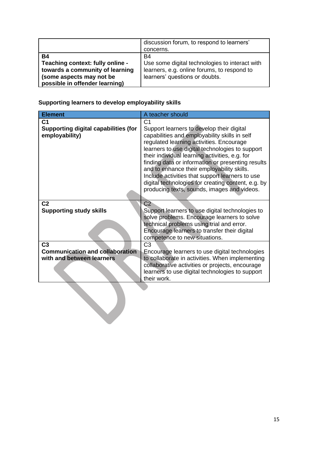|                                                                                                                                                | discussion forum, to respond to learners'<br>concerns.                                                                                       |
|------------------------------------------------------------------------------------------------------------------------------------------------|----------------------------------------------------------------------------------------------------------------------------------------------|
| <b>B4</b><br>Teaching context: fully online -<br>towards a community of learning<br>(some aspects may not be<br>possible in offender learning) | <b>B4</b><br>Use some digital technologies to interact with<br>learners, e.g. online forums, to respond to<br>learners' questions or doubts. |

**Supporting learners to develop employability skills**

| <b>Element</b>                                                                        | A teacher should                                                                                                                                                                                                                                                                                                                                                                                                                                                                                                         |
|---------------------------------------------------------------------------------------|--------------------------------------------------------------------------------------------------------------------------------------------------------------------------------------------------------------------------------------------------------------------------------------------------------------------------------------------------------------------------------------------------------------------------------------------------------------------------------------------------------------------------|
| C <sub>1</sub><br><b>Supporting digital capabilities (for</b><br>employability)       | C <sub>1</sub><br>Support learners to develop their digital<br>capabilities and employability skills in self<br>regulated learning activities. Encourage<br>learners to use digital technologies to support<br>their individual learning activities, e.g. for<br>finding data or information or presenting results<br>and to enhance their employability skills.<br>Include activities that support learners to use<br>digital technologies for creating content, e.g. by<br>producing texts, sounds, images and videos. |
| C <sub>2</sub><br><b>Supporting study skills</b>                                      | C <sub>2</sub><br>Support learners to use digital technologies to<br>solve problems. Encourage learners to solve<br>technical problems using trial and error.<br>Encourage learners to transfer their digital<br>competence to new situations.                                                                                                                                                                                                                                                                           |
| C <sub>3</sub><br><b>Communication and collaboration</b><br>with and between learners | C <sub>3</sub><br>Encourage learners to use digital technologies<br>to collaborate in activities. When implementing<br>collaborative activities or projects, encourage<br>learners to use digital technologies to support<br>their work.                                                                                                                                                                                                                                                                                 |
|                                                                                       |                                                                                                                                                                                                                                                                                                                                                                                                                                                                                                                          |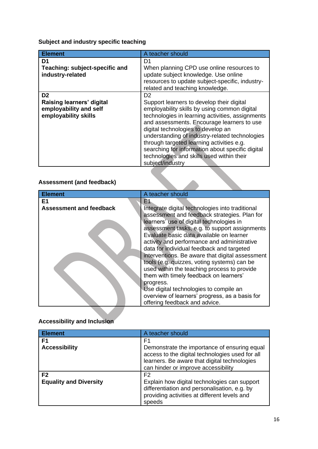**Subject and industry specific teaching**

| <b>Element</b>                                                                                | A teacher should                                                                                                                                                                                                                                                                                                                                                                                                                                                        |
|-----------------------------------------------------------------------------------------------|-------------------------------------------------------------------------------------------------------------------------------------------------------------------------------------------------------------------------------------------------------------------------------------------------------------------------------------------------------------------------------------------------------------------------------------------------------------------------|
| D1<br>Teaching: subject-specific and<br>industry-related                                      | D1<br>When planning CPD use online resources to<br>update subject knowledge. Use online<br>resources to update subject-specific, industry-<br>related and teaching knowledge.                                                                                                                                                                                                                                                                                           |
| D <sub>2</sub><br>Raising learners' digital<br>employability and self<br>employability skills | D <sub>2</sub><br>Support learners to develop their digital<br>employability skills by using common digital<br>technologies in learning activities, assignments<br>and assessments. Encourage learners to use<br>digital technologies to develop an<br>understanding of industry-related technologies<br>through targeted learning activities e.g.<br>searching for information about specific digital<br>technologies and skills used within their<br>subject/industry |

# **Assessment (and feedback)**

| <b>Element</b>                       | A teacher should                                                                                                                                                                                                                                                                     |
|--------------------------------------|--------------------------------------------------------------------------------------------------------------------------------------------------------------------------------------------------------------------------------------------------------------------------------------|
| E1<br><b>Assessment and feedback</b> | F1.<br>Integrate digital technologies into traditional<br>assessment and feedback strategies. Plan for                                                                                                                                                                               |
|                                      | learners' use of digital technologies in<br>assessment tasks, e.g. to support assignments<br>Evaluate basic data available on learner<br>activity and performance and administrative<br>data for individual feedback and targeted<br>interventions. Be aware that digital assessment |
|                                      | tools (e.g. quizzes, voting systems) can be<br>used within the teaching process to provide<br>them with timely feedback on learners'<br>progress.<br>Use digital technologies to compile an<br>overview of learners' progress, as a basis for<br>offering feedback and advice.       |

# **Accessibility and Inclusion**

| <b>Element</b>                | A teacher should                                                                                                                                                                       |
|-------------------------------|----------------------------------------------------------------------------------------------------------------------------------------------------------------------------------------|
| F1                            | F1                                                                                                                                                                                     |
| <b>Accessibility</b>          | Demonstrate the importance of ensuring equal<br>access to the digital technologies used for all<br>learners. Be aware that digital technologies<br>can hinder or improve accessibility |
| F <sub>2</sub>                | F <sub>2</sub>                                                                                                                                                                         |
| <b>Equality and Diversity</b> | Explain how digital technologies can support<br>differentiation and personalisation, e.g. by<br>providing activities at different levels and<br>speeds                                 |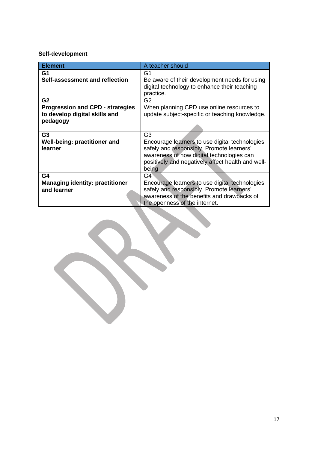# **Self-development**

| <b>Element</b>                          | A teacher should                                                                              |
|-----------------------------------------|-----------------------------------------------------------------------------------------------|
| G1                                      | G1                                                                                            |
| Self-assessment and reflection          | Be aware of their development needs for using<br>digital technology to enhance their teaching |
|                                         | practice.                                                                                     |
| G <sub>2</sub>                          | G <sub>2</sub>                                                                                |
| <b>Progression and CPD - strategies</b> | When planning CPD use online resources to                                                     |
| to develop digital skills and           | update subject-specific or teaching knowledge.                                                |
| pedagogy                                |                                                                                               |
|                                         |                                                                                               |
| G <sub>3</sub>                          | G <sub>3</sub>                                                                                |
| Well-being: practitioner and            | Encourage learners to use digital technologies                                                |
| learner                                 | safely and responsibly. Promote learners'                                                     |
|                                         | awareness of how digital technologies can                                                     |
|                                         | positively and negatively affect health and well-                                             |
|                                         | being                                                                                         |
| G4                                      | G4                                                                                            |
| <b>Managing identity: practitioner</b>  | Encourage learners to use digital technologies                                                |
| and learner                             | safely and responsibly. Promote learners'                                                     |
|                                         | awareness of the benefits and drawbacks of                                                    |
|                                         | the openness of the internet.                                                                 |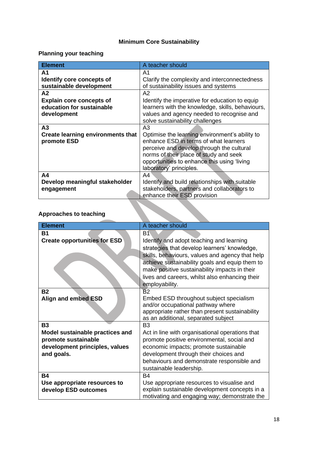# **Minimum Core Sustainability**

# **Planning your teaching**

| <b>Element</b>                           | A teacher should                                 |
|------------------------------------------|--------------------------------------------------|
| А1                                       | A1                                               |
| Identify core concepts of                | Clarify the complexity and interconnectedness    |
| sustainable development                  | of sustainability issues and systems             |
| A2                                       | A2                                               |
| <b>Explain core concepts of</b>          | Identify the imperative for education to equip   |
| education for sustainable                | learners with the knowledge, skills, behaviours, |
| development                              | values and agency needed to recognise and        |
|                                          | solve sustainability challenges                  |
| A3                                       | A3                                               |
| <b>Create learning environments that</b> | Optimise the learning environment's ability to   |
| promote ESD                              | enhance ESD in terms of what learners            |
|                                          | perceive and develop through the cultural        |
|                                          | norms of their place of study and seek           |
|                                          | opportunities to enhance this using 'living      |
|                                          | laboratory' principles.                          |
| A <sub>4</sub>                           | A4                                               |
| Develop meaningful stakeholder           | Identify and build relationships with suitable   |
| engagement                               | stakeholders, partners and collaborators to      |
|                                          | enhance their ESD provision                      |
|                                          |                                                  |
| Approaches to teaching                   |                                                  |

# **Approaches to teaching**

| <b>Element</b>                      | A teacher should                                                                              |
|-------------------------------------|-----------------------------------------------------------------------------------------------|
| <b>B1</b>                           | B1                                                                                            |
| <b>Create opportunities for ESD</b> | Identify and adopt teaching and learning                                                      |
|                                     | strategies that develop learners' knowledge,                                                  |
|                                     | skills, behaviours, values and agency that help                                               |
|                                     | achieve sustainability goals and equip them to                                                |
|                                     | make positive sustainability impacts in their                                                 |
|                                     | lives and careers, whilst also enhancing their                                                |
|                                     | employability.                                                                                |
| <b>B2</b>                           | B2                                                                                            |
| Align and embed ESD                 | Embed ESD throughout subject specialism<br>and/or occupational pathway where                  |
|                                     | appropriate rather than present sustainability                                                |
|                                     | as an additional, separated subject                                                           |
| <b>B3</b>                           | B <sub>3</sub>                                                                                |
| Model sustainable practices and     | Act in line with organisational operations that                                               |
| promote sustainable                 | promote positive environmental, social and                                                    |
| development principles, values      | economic impacts; promote sustainable                                                         |
| and goals.                          | development through their choices and                                                         |
|                                     | behaviours and demonstrate responsible and                                                    |
|                                     | sustainable leadership.                                                                       |
| <b>B4</b>                           | <b>B4</b>                                                                                     |
| Use appropriate resources to        | Use appropriate resources to visualise and                                                    |
| develop ESD outcomes                | explain sustainable development concepts in a<br>motivating and engaging way; demonstrate the |
|                                     |                                                                                               |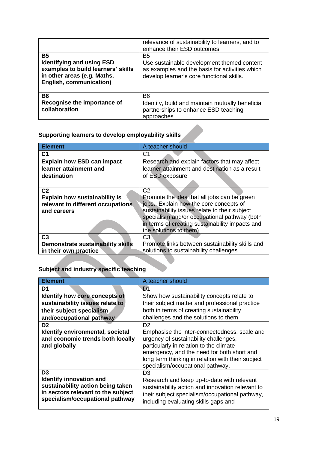| <b>B5</b><br><b>Identifying and using ESD</b><br>examples to build learners' skills<br>in other areas (e.g. Maths,<br><b>English, communication)</b> | relevance of sustainability to learners, and to<br>enhance their ESD outcomes<br>B <sub>5</sub><br>Use sustainable development themed content<br>as examples and the basis for activities which<br>develop learner's core functional skills. |
|------------------------------------------------------------------------------------------------------------------------------------------------------|----------------------------------------------------------------------------------------------------------------------------------------------------------------------------------------------------------------------------------------------|
| <b>B6</b><br>Recognise the importance of<br>collaboration                                                                                            | B <sub>6</sub><br>Identify, build and maintain mutually beneficial<br>partnerships to enhance ESD teaching<br>approaches                                                                                                                     |

| Supporting learners to develop employability skills |  |
|-----------------------------------------------------|--|

| <b>Element</b>                       | A teacher should                                |
|--------------------------------------|-------------------------------------------------|
| C <sub>1</sub>                       | C <sub>1</sub>                                  |
| <b>Explain how ESD can impact</b>    | Research and explain factors that may affect    |
| learner attainment and               | learner attainment and destination as a result  |
| destination                          | of ESD exposure                                 |
|                                      |                                                 |
| C <sub>2</sub>                       | C <sub>2</sub>                                  |
| <b>Explain how sustainability is</b> | Promote the idea that all jobs can be green     |
| relevant to different occupations    | jobs. Explain how the core concepts of          |
| and careers                          | sustainability issues relate to their subject   |
|                                      | specialism and/or occupational pathway (both    |
|                                      | in terms of creating sustainability impacts and |
|                                      | the solutions to them)                          |
| C <sub>3</sub>                       | C3                                              |
| Demonstrate sustainability skills    | Promote links between sustainability skills and |
| in their own practice                | solutions to sustainability challenges          |
|                                      |                                                 |

# **Subject and industry specific teaching**

| <b>Element</b>                     | A teacher should                                  |
|------------------------------------|---------------------------------------------------|
| D1                                 | D <sub>1</sub>                                    |
| Identify how core concepts of      | Show how sustainability concepts relate to        |
| sustainability issues relate to    | their subject matter and professional practice    |
| their subject specialism           | both in terms of creating sustainability          |
| and/occupational pathway           | challenges and the solutions to them              |
| D <sub>2</sub>                     | D <sub>2</sub>                                    |
| Identify environmental, societal   | Emphasise the inter-connectedness, scale and      |
| and economic trends both locally   | urgency of sustainability challenges,             |
| and globally                       | particularly in relation to the climate           |
|                                    | emergency, and the need for both short and        |
|                                    | long term thinking in relation with their subject |
|                                    | specialism/occupational pathway.                  |
| D <sub>3</sub>                     | D <sub>3</sub>                                    |
| <b>Identify innovation and</b>     | Research and keep up-to-date with relevant        |
| sustainability action being taken  | sustainability action and innovation relevant to  |
| in sectors relevant to the subject | their subject specialism/occupational pathway,    |
| specialism/occupational pathway    | including evaluating skills gaps and              |
|                                    |                                                   |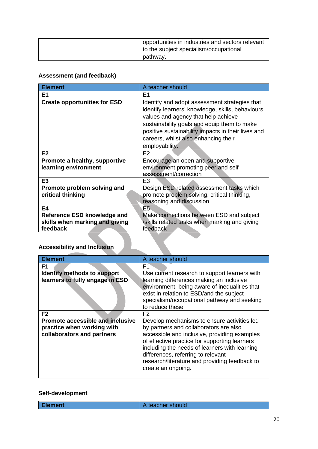| opportunities in industries and sectors relevant<br>to the subject specialism/occupational |
|--------------------------------------------------------------------------------------------|
| pathwav.                                                                                   |

# **Assessment (and feedback)**

| <b>Element</b>                                                            | A teacher should                                                                                                                                                                                                                                                                                         |
|---------------------------------------------------------------------------|----------------------------------------------------------------------------------------------------------------------------------------------------------------------------------------------------------------------------------------------------------------------------------------------------------|
| Ε1                                                                        | F <sub>1</sub>                                                                                                                                                                                                                                                                                           |
| <b>Create opportunities for ESD</b>                                       | Identify and adopt assessment strategies that<br>identify learners' knowledge, skills, behaviours,<br>values and agency that help achieve<br>sustainability goals and equip them to make<br>positive sustainability impacts in their lives and<br>careers, whilst also enhancing their<br>employability. |
| E <sub>2</sub>                                                            | E2                                                                                                                                                                                                                                                                                                       |
| Promote a healthy, supportive                                             | Encourage an open and supportive                                                                                                                                                                                                                                                                         |
| learning environment                                                      | environment promoting peer and self                                                                                                                                                                                                                                                                      |
|                                                                           | assessment/correction                                                                                                                                                                                                                                                                                    |
| E <sub>3</sub>                                                            | E <sub>3</sub>                                                                                                                                                                                                                                                                                           |
| Promote problem solving and                                               | Design ESD related assessment tasks which                                                                                                                                                                                                                                                                |
| critical thinking                                                         | promote problem solving, critical thinking,<br>reasoning and discussion                                                                                                                                                                                                                                  |
| E4                                                                        | Ē5.                                                                                                                                                                                                                                                                                                      |
| Reference ESD knowledge and<br>skills when marking and giving<br>feedback | Make connections between ESD and subject<br>/skills related tasks when marking and giving<br>feedback                                                                                                                                                                                                    |
| <b>Accessibility and Inclusion</b>                                        |                                                                                                                                                                                                                                                                                                          |

# **Accessibility and Inclusion**

| <b>Element</b>                                                                                                        | A teacher should                                                                                                                                                                                                                                                                                                                                                       |
|-----------------------------------------------------------------------------------------------------------------------|------------------------------------------------------------------------------------------------------------------------------------------------------------------------------------------------------------------------------------------------------------------------------------------------------------------------------------------------------------------------|
| F1<br>Identify methods to support<br>learners to fully engage in ESD                                                  | F1<br>Use current research to support learners with<br>learning differences making an inclusive<br>environment, being aware of inequalities that<br>exist in relation to ESD/and the subject<br>specialism/occupational pathway and seeking<br>to reduce these                                                                                                         |
| F <sub>2</sub><br><b>Promote accessible and inclusive</b><br>practice when working with<br>collaborators and partners | F <sub>2</sub><br>Develop mechanisms to ensure activities led<br>by partners and collaborators are also<br>accessible and inclusive, providing examples<br>of effective practice for supporting learners<br>including the needs of learners with learning<br>differences, referring to relevant<br>research/literature and providing feedback to<br>create an ongoing. |

# **Self-development**

| <b>Element</b> | A teacher should |
|----------------|------------------|
|                |                  |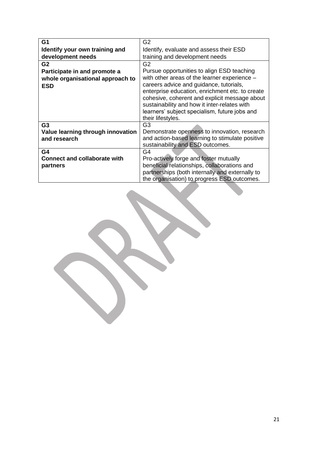| G <sub>1</sub>                      | G <sub>2</sub>                                                                                                                                                                                                                                                    |
|-------------------------------------|-------------------------------------------------------------------------------------------------------------------------------------------------------------------------------------------------------------------------------------------------------------------|
| Identify your own training and      | Identify, evaluate and assess their ESD                                                                                                                                                                                                                           |
| development needs                   | training and development needs                                                                                                                                                                                                                                    |
| G <sub>2</sub>                      | G <sub>2</sub>                                                                                                                                                                                                                                                    |
| Participate in and promote a        | Pursue opportunities to align ESD teaching                                                                                                                                                                                                                        |
| whole organisational approach to    | with other areas of the learner experience -                                                                                                                                                                                                                      |
| <b>ESD</b>                          | careers advice and guidance, tutorials,<br>enterprise education, enrichment etc. to create<br>cohesive, coherent and explicit message about<br>sustainability and how it inter-relates with<br>learners' subject specialism, future jobs and<br>their lifestyles. |
| G <sub>3</sub>                      | G <sub>3</sub>                                                                                                                                                                                                                                                    |
| Value learning through innovation   | Demonstrate openness to innovation, research                                                                                                                                                                                                                      |
| and research                        | and action-based learning to stimulate positive                                                                                                                                                                                                                   |
| G4                                  | sustainability and ESD outcomes.<br>G4                                                                                                                                                                                                                            |
| <b>Connect and collaborate with</b> | Pro-actively forge and foster mutually                                                                                                                                                                                                                            |
| partners                            | beneficial relationships, collaborations and                                                                                                                                                                                                                      |
|                                     | partnerships (both internally and externally to                                                                                                                                                                                                                   |
|                                     | the organisation) to progress ESD outcomes.                                                                                                                                                                                                                       |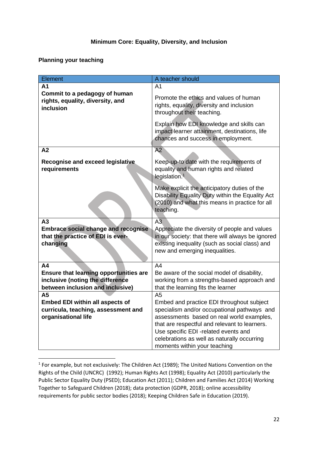#### **Minimum Core: Equality, Diversity, and Inclusion**

### **Planning your teaching**

| Element                                                                        | A teacher should                                                                                                                                                |
|--------------------------------------------------------------------------------|-----------------------------------------------------------------------------------------------------------------------------------------------------------------|
| A <sub>1</sub>                                                                 | A <sub>1</sub>                                                                                                                                                  |
| Commit to a pedagogy of human<br>rights, equality, diversity, and<br>inclusion | Promote the ethics and values of human<br>rights, equality, diversity and inclusion<br>throughout their teaching.                                               |
|                                                                                | Explain how EDI knowledge and skills can<br>impact learner attainment, destinations, life<br>chances and success in employment.                                 |
| A2                                                                             | $\overline{A2}$                                                                                                                                                 |
| <b>Recognise and exceed legislative</b><br>requirements                        | Keep-up-to date with the requirements of<br>equality and human rights and related<br>legislation. <sup>1</sup>                                                  |
|                                                                                | Make explicit the anticipatory duties of the<br>Disability Equality Duty within the Equality Act<br>(2010) and what this means in practice for all<br>teaching. |
| A3                                                                             | A <sub>3</sub>                                                                                                                                                  |
| <b>Embrace social change and recognise</b>                                     | Appreciate the diversity of people and values                                                                                                                   |
| that the practice of EDI is ever-                                              | in our society: that there will always be ignored                                                                                                               |
| changing                                                                       | existing inequality (such as social class) and                                                                                                                  |
|                                                                                | new and emerging inequalities.                                                                                                                                  |
| A <sub>4</sub>                                                                 | A4                                                                                                                                                              |
| Ensure that learning opportunities are                                         | Be aware of the social model of disability,                                                                                                                     |
| inclusive (noting the difference                                               | working from a strengths-based approach and                                                                                                                     |
| between inclusion and inclusive)                                               | that the learning fits the learner                                                                                                                              |
| A <sub>5</sub>                                                                 | A5                                                                                                                                                              |
| <b>Embed EDI within all aspects of</b>                                         | Embed and practice EDI throughout subject                                                                                                                       |
| curricula, teaching, assessment and                                            | specialism and/or occupational pathways and                                                                                                                     |
| organisational life                                                            | assessments based on real world examples,                                                                                                                       |
|                                                                                | that are respectful and relevant to learners.                                                                                                                   |
|                                                                                | Use specific EDI -related events and                                                                                                                            |
|                                                                                | celebrations as well as naturally occurring                                                                                                                     |
|                                                                                | moments within your teaching                                                                                                                                    |

 $<sup>1</sup>$  For example, but not exclusively: The Children Act (1989); The United Nations Convention on the</sup> Rights of the Child (UNCRC) (1992); Human Rights Act (1998); Equality Act (2010) particularly the Public Sector Equality Duty (PSED); Education Act (2011); Children and Families Act (2014) Working Together to Safeguard Children (2018); data protection (GDPR, 2018); online accessibility requirements for public sector bodies (2018); Keeping Children Safe in Education (2019).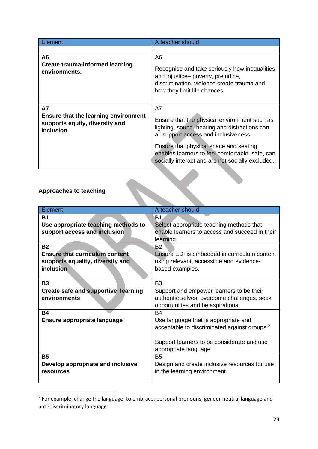| Element                                                                                                 | A teacher should                                                                                                                                                                                                                                                                              |
|---------------------------------------------------------------------------------------------------------|-----------------------------------------------------------------------------------------------------------------------------------------------------------------------------------------------------------------------------------------------------------------------------------------------|
|                                                                                                         |                                                                                                                                                                                                                                                                                               |
| A <sub>6</sub><br><b>Create trauma-informed learning</b><br>environments.                               | A6<br>Recognise and take seriously how inequalities<br>and injustice- poverty, prejudice,<br>discrimination, violence create trauma and<br>how they limit life chances.                                                                                                                       |
| <b>A7</b><br><b>Ensure that the learning environment</b><br>supports equity, diversity and<br>inclusion | A7<br>Ensure that the physical environment such as<br>lighting, sound, heating and distractions can<br>all support access and inclusiveness.<br>Ensure that physical space and seating<br>enables learners to feel comfortable, safe, can<br>socially interact and are not socially excluded. |

# **Approaches to teaching**

| <b>Approaches to teaching</b>                                                                       |                                                                                                                                                                                     |
|-----------------------------------------------------------------------------------------------------|-------------------------------------------------------------------------------------------------------------------------------------------------------------------------------------|
| Element                                                                                             | A teacher should                                                                                                                                                                    |
| <b>B1</b><br>Use appropriate teaching methods to<br>support access and inclusion                    | B1<br>Select appropriate teaching methods that<br>enable learners to access and succeed in their<br>learning.                                                                       |
| <b>B2</b><br><b>Ensure that curriculum content</b><br>supports equality, diversity and<br>inclusion | <b>B2</b><br>Ensure EDI is embedded in curriculum content<br>using relevant, accessible and evidence-<br>based examples.                                                            |
| <b>B3</b><br><b>Create safe and supportive learning</b><br>environments                             | B <sub>3</sub><br>Support and empower learners to be their<br>authentic selves, overcome challenges, seek<br>opportunities and be aspirational                                      |
| <b>B4</b><br><b>Ensure appropriate language</b>                                                     | <b>B4</b><br>Use language that is appropriate and<br>acceptable to discriminated against groups. <sup>2</sup><br>Support learners to be considerate and use<br>appropriate language |
| <b>B5</b><br>Develop appropriate and inclusive<br>resources                                         | <b>B5</b><br>Design and create inclusive resources for use<br>in the learning environment.                                                                                          |

<sup>&</sup>lt;sup>2</sup> For example, change the language, to embrace: personal pronouns, gender neutral language and anti-discriminatory language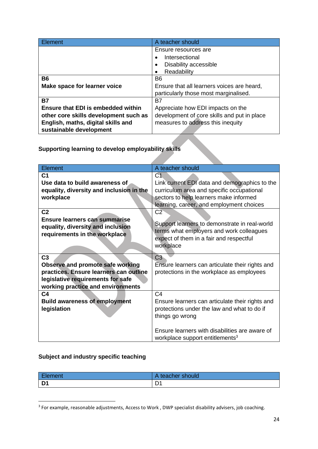| Element                               | A teacher should                            |
|---------------------------------------|---------------------------------------------|
|                                       | Ensure resources are                        |
|                                       | Intersectional                              |
|                                       | Disability accessible                       |
|                                       | Readability<br>٠                            |
| <b>B6</b>                             | B <sub>6</sub>                              |
| Make space for learner voice          | Ensure that all learners voices are heard,  |
|                                       | particularly those most marginalised.       |
| <b>B7</b>                             | B7                                          |
| Ensure that EDI is embedded within    | Appreciate how EDI impacts on the           |
| other core skills development such as | development of core skills and put in place |
| English, maths, digital skills and    | measures to address this inequity           |
| sustainable development               |                                             |

**Supporting learning to develop employability skills**

| Element                                                                                                    | A teacher should                                                                                                                                  |
|------------------------------------------------------------------------------------------------------------|---------------------------------------------------------------------------------------------------------------------------------------------------|
| C <sub>1</sub>                                                                                             | C <sub>1</sub>                                                                                                                                    |
| Use data to build awareness of                                                                             | Link current EDI data and demographics to the                                                                                                     |
| equality, diversity and inclusion in the                                                                   | curriculum area and specific occupational                                                                                                         |
| workplace                                                                                                  | sectors to help learners make informed                                                                                                            |
|                                                                                                            | learning, career, and employment choices                                                                                                          |
| C <sub>2</sub>                                                                                             | C2                                                                                                                                                |
| <b>Ensure learners can summarise</b><br>equality, diversity and inclusion<br>requirements in the workplace | Support learners to demonstrate in real-world<br>terms what employers and work colleagues<br>expect of them in a fair and respectful<br>workplace |
| C <sub>3</sub>                                                                                             | C <sub>3</sub>                                                                                                                                    |
| Observe and promote safe working                                                                           | Ensure learners can articulate their rights and                                                                                                   |
| practices. Ensure learners can outline                                                                     | protections in the workplace as employees                                                                                                         |
| legislative requirements for safe                                                                          |                                                                                                                                                   |
| working practice and environments                                                                          |                                                                                                                                                   |
| C <sub>4</sub>                                                                                             | C <sub>4</sub>                                                                                                                                    |
| <b>Build awareness of employment</b>                                                                       | Ensure learners can articulate their rights and                                                                                                   |
| legislation                                                                                                | protections under the law and what to do if                                                                                                       |
|                                                                                                            | things go wrong                                                                                                                                   |
|                                                                                                            |                                                                                                                                                   |
|                                                                                                            | Ensure learners with disabilities are aware of<br>workplace support entitlements <sup>3</sup>                                                     |

# **Subject and industry specific teaching**

| Element | l teacher should<br>⊶ |
|---------|-----------------------|
| D1      | D                     |

<sup>&</sup>lt;sup>3</sup> For example, reasonable adjustments, Access to Work, DWP specialist disability advisers, job coaching.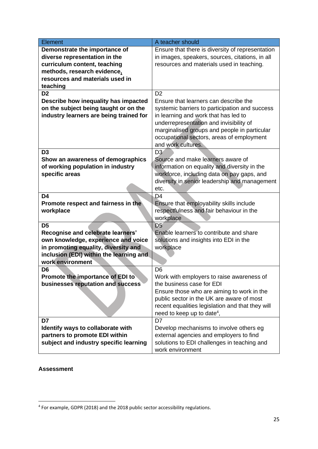| Element                                 | A teacher should                                 |
|-----------------------------------------|--------------------------------------------------|
| Demonstrate the importance of           | Ensure that there is diversity of representation |
| diverse representation in the           | in images, speakers, sources, citations, in all  |
| curriculum content, teaching            | resources and materials used in teaching.        |
| methods, research evidence,             |                                                  |
| resources and materials used in         |                                                  |
| teaching                                |                                                  |
| D <sub>2</sub>                          | D <sub>2</sub>                                   |
| Describe how inequality has impacted    | Ensure that learners can describe the            |
| on the subject being taught or on the   | systemic barriers to participation and success   |
| industry learners are being trained for | in learning and work that has led to             |
|                                         | underrepresentation and invisibility of          |
|                                         | marginalised groups and people in particular     |
|                                         | occupational sectors, areas of employment        |
|                                         | and work cultures.                               |
| D <sub>3</sub>                          | D <sub>3</sub>                                   |
| Show an awareness of demographics       | Source and make learners aware of                |
| of working population in industry       | information on equality and diversity in the     |
| specific areas                          | workforce, including data on pay gaps, and       |
|                                         | diversity in senior leadership and management    |
|                                         | etc.                                             |
| D <sub>4</sub>                          | D <sub>4</sub>                                   |
| Promote respect and fairness in the     | Ensure that employability skills include         |
| workplace                               | respectfulness and fair behaviour in the         |
|                                         | workplace                                        |
| D <sub>5</sub>                          | D <sub>5</sub>                                   |
| Recognise and celebrate learners'       | Enable learners to contribute and share          |
| own knowledge, experience and voice     | solutions and insights into EDI in the           |
| in promoting equality, diversity and    | workplace                                        |
| inclusion (EDI) within the learning and |                                                  |
| work environment                        |                                                  |
| D6                                      | D <sub>6</sub>                                   |
| Promote the importance of EDI to        | Work with employers to raise awareness of        |
| businesses reputation and success       | the business case for EDI                        |
|                                         | Ensure those who are aiming to work in the       |
|                                         | public sector in the UK are aware of most        |
|                                         | recent equalities legislation and that they will |
|                                         | need to keep up to date <sup>4</sup> ,           |
| D7                                      | D7                                               |
| Identify ways to collaborate with       | Develop mechanisms to involve others eg          |
| partners to promote EDI within          | external agencies and employers to find          |
| subject and industry specific learning  | solutions to EDI challenges in teaching and      |
|                                         | work environment                                 |

### **Assessment**

<sup>&</sup>lt;sup>4</sup> For example, GDPR (2018) and the 2018 public sector accessibility regulations.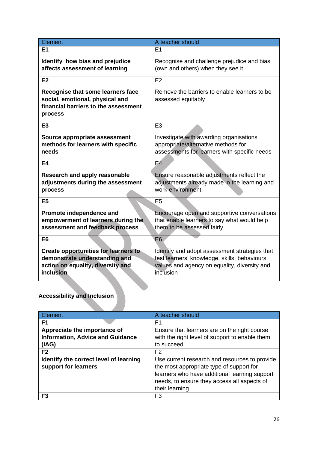| Element                                                                                                                        | A teacher should                                                                                                                                            |
|--------------------------------------------------------------------------------------------------------------------------------|-------------------------------------------------------------------------------------------------------------------------------------------------------------|
| E1                                                                                                                             | E1                                                                                                                                                          |
| Identify how bias and prejudice<br>affects assessment of learning                                                              | Recognise and challenge prejudice and bias<br>(own and others) when they see it                                                                             |
| E2                                                                                                                             | E2                                                                                                                                                          |
| Recognise that some learners face<br>social, emotional, physical and<br>financial barriers to the assessment<br>process        | Remove the barriers to enable learners to be<br>assessed equitably                                                                                          |
| E <sub>3</sub>                                                                                                                 | E <sub>3</sub>                                                                                                                                              |
| Source appropriate assessment<br>methods for learners with specific<br>needs                                                   | Investigate with awarding organisations<br>appropriate/alternative methods for<br>assessments for learners with specific needs                              |
| E4                                                                                                                             | <b>E4</b>                                                                                                                                                   |
| <b>Research and apply reasonable</b><br>adjustments during the assessment<br>process                                           | Ensure reasonable adjustments reflect the<br>adjustments already made in the learning and<br>work environment                                               |
| E <sub>5</sub>                                                                                                                 | E <sub>5</sub>                                                                                                                                              |
| Promote independence and<br>empowerment of learners during the<br>assessment and feedback process                              | Encourage open and supportive conversations<br>that enable learners to say what would help<br>them to be assessed fairly                                    |
| E <sub>6</sub>                                                                                                                 | E <sub>6</sub>                                                                                                                                              |
| <b>Create opportunities for learners to</b><br>demonstrate understanding and<br>action on equality, diversity and<br>inclusion | Identify and adopt assessment strategies that<br>test learners' knowledge, skills, behaviours,<br>values and agency on equality, diversity and<br>inclusion |

# **Accessibility and Inclusion**

| Element                                 | A teacher should                               |
|-----------------------------------------|------------------------------------------------|
| F <sub>1</sub>                          | F1                                             |
| Appreciate the importance of            | Ensure that learners are on the right course   |
| <b>Information, Advice and Guidance</b> | with the right level of support to enable them |
| (IAG)                                   | to succeed                                     |
| F <sub>2</sub>                          | F2                                             |
| Identify the correct level of learning  | Use current research and resources to provide  |
| support for learners                    | the most appropriate type of support for       |
|                                         | learners who have additional learning support  |
|                                         | needs, to ensure they access all aspects of    |
|                                         | their learning                                 |
| F3                                      | F3                                             |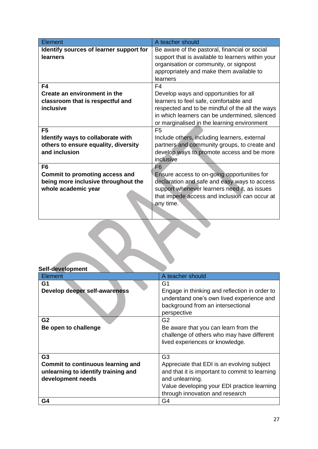| Element                                 | A teacher should                                  |
|-----------------------------------------|---------------------------------------------------|
| Identify sources of learner support for | Be aware of the pastoral, financial or social     |
| <b>learners</b>                         | support that is available to learners within your |
|                                         | organisation or community, or signpost            |
|                                         | appropriately and make them available to          |
|                                         | learners                                          |
| F4                                      | F4                                                |
| Create an environment in the            | Develop ways and opportunities for all            |
| classroom that is respectful and        | learners to feel safe, comfortable and            |
| inclusive                               | respected and to be mindful of the all the ways   |
|                                         | in which learners can be undermined, silenced     |
|                                         | or marginalised in the learning environment       |
| F <sub>5</sub>                          | F <sub>5</sub>                                    |
| Identify ways to collaborate with       | Include others, including learners, external      |
| others to ensure equality, diversity    | partners and community groups, to create and      |
| and inclusion                           | develop ways to promote access and be more        |
|                                         | inclusive                                         |
| F6                                      | F <sub>6</sub>                                    |
| <b>Commit to promoting access and</b>   | Ensure access to on-going opportunities for       |
| being more inclusive throughout the     | declaration and safe and easy ways to access      |
| whole academic year                     | support whenever learners need it, as issues      |
|                                         | that impede access and inclusion can occur at     |
|                                         | any time.                                         |
|                                         |                                                   |

| Self-development                         |                                                                                            |
|------------------------------------------|--------------------------------------------------------------------------------------------|
| Element                                  | A teacher should                                                                           |
| G1                                       | G1                                                                                         |
| Develop deeper self-awareness            | Engage in thinking and reflection in order to<br>understand one's own lived experience and |
|                                          | background from an intersectional<br>perspective                                           |
| G <sub>2</sub>                           | G2                                                                                         |
| Be open to challenge                     | Be aware that you can learn from the                                                       |
|                                          | challenge of others who may have different                                                 |
|                                          | lived experiences or knowledge.                                                            |
|                                          |                                                                                            |
| G <sub>3</sub>                           | G <sub>3</sub>                                                                             |
| <b>Commit to continuous learning and</b> | Appreciate that EDI is an evolving subject                                                 |
| unlearning to identify training and      | and that it is important to commit to learning                                             |
| development needs                        | and unlearning.                                                                            |
|                                          | Value developing your EDI practice learning                                                |
|                                          | through innovation and research                                                            |
| G4                                       | G4                                                                                         |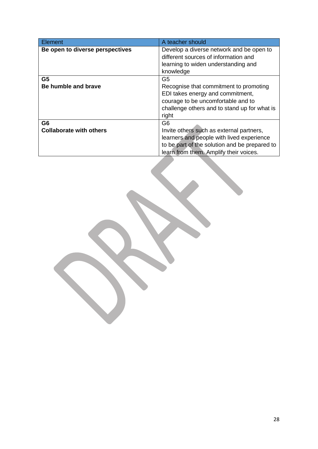| <b>Element</b>                  | A teacher should                              |
|---------------------------------|-----------------------------------------------|
| Be open to diverse perspectives | Develop a diverse network and be open to      |
|                                 | different sources of information and          |
|                                 | learning to widen understanding and           |
|                                 | knowledge                                     |
| G <sub>5</sub>                  | G5                                            |
| Be humble and brave             | Recognise that commitment to promoting        |
|                                 | EDI takes energy and commitment,              |
|                                 | courage to be uncomfortable and to            |
|                                 | challenge others and to stand up for what is  |
|                                 | right                                         |
| G6                              | G6                                            |
| <b>Collaborate with others</b>  | Invite others such as external partners,      |
|                                 | learners and people with lived experience     |
|                                 | to be part of the solution and be prepared to |
|                                 | learn from them. Amplify their voices.        |
|                                 |                                               |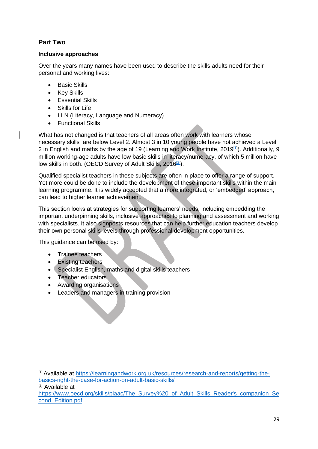# **Part Two**

### **Inclusive approaches**

Over the years many names have been used to describe the skills adults need for their personal and working lives:

- Basic Skills
- Key Skills
- Essential Skills
- **Skills for Life**
- LLN (Literacy, Language and Numeracy)
- Functional Skills

What has not changed is that teachers of all areas often work with learners whose necessary skills are below Level 2. Almost 3 in 10 young people have not achieved a Level 2 in English and maths by the age of 19 (Learning and Work Institute, 2019<sup>[\[1\]](https://learningandwork.org.uk/resources/research-and-reports/getting-the-basics-right-the-case-for-action-on-adult-basic-skills/)</sup>). Additionally, 9 million working-age adults have low basic skills in literacy/numeracy, of which 5 million have low skills in both. (OECD Survey of Adult Skills, 2016<sup>[\[2\]](https://www.oecd.org/skills/piaac/The_Survey%20_of_Adult_Skills_Reader)</sup>).

Qualified specialist teachers in these subjects are often in place to offer a range of support. Yet more could be done to include the development of these important skills within the main learning programme. It is widely accepted that a more integrated, or 'embedded' approach, can lead to higher learner achievement.

This section looks at strategies for supporting learners' needs, including embedding the important underpinning skills, inclusive approaches to planning and assessment and working with specialists. It also signposts resources that can help further education teachers develop their own personal skills levels through professional development opportunities.

This guidance can be used by:

- Trainee teachers
- Existing teachers
- Specialist English, maths and digital skills teachers
- Teacher educators
- Awarding organisations
- Leaders and managers in training provision

[1] Available at [https://learningandwork.org.uk/resources/research-and-reports/getting-the](https://learningandwork.org.uk/resources/research-and-reports/getting-the-basics-right-the-case-for-action-on-adult-basic-skills/)[basics-right-the-case-for-action-on-adult-basic-skills/](https://learningandwork.org.uk/resources/research-and-reports/getting-the-basics-right-the-case-for-action-on-adult-basic-skills/) <sup>[2]</sup> Available at [https://www.oecd.org/skills/piaac/The\\_Survey%20\\_of\\_Adult\\_Skills\\_Reader's\\_companion\\_Se](https://www.oecd.org/skills/piaac/The_Survey%20_of_Adult_Skills_Reader) [cond\\_Edition.pdf](https://www.oecd.org/skills/piaac/The_Survey%20_of_Adult_Skills_Reader)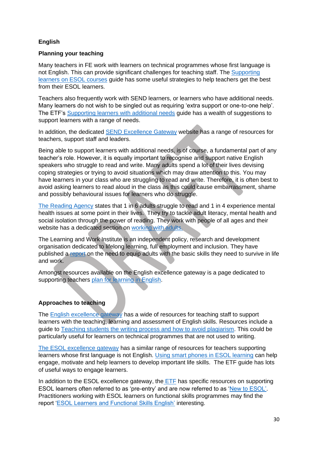### **English**

### **Planning your teaching**

Many teachers in FE work with learners on technical programmes whose first language is not English. This can provide significant challenges for teaching staff. The [Supporting](https://esol.excellencegateway.org.uk/sites/default/files/attachments/informational-page/EFT2245_2PP_TOP-TIP_ESOL_VOC_WEB_AW.pdf)  [learners on ESOL courses](https://esol.excellencegateway.org.uk/sites/default/files/attachments/informational-page/EFT2245_2PP_TOP-TIP_ESOL_VOC_WEB_AW.pdf) guide has some useful strategies to help teachers get the best from their ESOL learners.

Teachers also frequently work with SEND learners, or learners who have additional needs. Many learners do not wish to be singled out as requiring 'extra support or one-to-one help'. The ETF's [Supporting learners with additional needs](https://repository.excellencegateway.org.uk/Supporting_learners_with_additional_needs_-_23_Aug_2018.pdf) guide has a wealth of suggestions to support learners with a range of needs.

In addition, the dedicated [SEND Excellence Gateway](https://send.excellencegateway.org.uk/) website has a range of resources for teachers, support staff and leaders.

Being able to support learners with additional needs, is of course, a fundamental part of any teacher's role. However, it is equally important to recognise and support native English speakers who struggle to read and write. Many adults spend a lot of their lives devising coping strategies or trying to avoid situations which may draw attention to this. You may have learners in your class who are struggling to read and write. Therefore, it is often best to avoid asking learners to read aloud in the class as this could cause embarrassment, shame and possibly behavioural issues for learners who do struggle.

[The Reading Agency](https://readingagency.org.uk/) states that 1 in 6 adults struggle to read and 1 in 4 experience mental health issues at some point in their lives. They try to tackle adult literacy, mental health and social isolation through the power of reading. They work with people of all ages and their website has a dedicated section on [working with adults.](https://readingagency.org.uk/adults/)

The Learning and Work Institute is an independent policy, research and development organisation dedicated to lifelong learning, full employment and inclusion. They have published a [report](https://learningandwork.org.uk/resources/research-and-reports/getting-the-basics-right-the-case-for-action-on-adult-basic-skills/) on the need to equip adults with the basic skills they need to survive in life and work.

Amongst resources available on the English excellence gateway is a page dedicated to supporting teachers [plan for learning in English.](https://english.excellencegateway.org.uk/teaching-learning-and-assessment/planning-for-learning)

# **Approaches to teaching**

The [English excellence gateway](https://english.excellencegateway.org.uk/) has a wide of resources for teaching staff to support learners with the teaching, learning and assessment of English skills. Resources include a guide to [Teaching students the writing process and how to avoid plagiarism.](https://english.excellencegateway.org.uk/content/etf2834) This could be particularly useful for learners on technical programmes that are not used to writing.

[The ESOL excellence gateway](https://esol.excellencegateway.org.uk/content/teachers) has a similar range of resources for teachers supporting learners whose first language is not English. [Using smart phones in ESOL learning](https://esol.excellencegateway.org.uk/content/teachers/staff-room/teaching-articles/using-smartphones-esol-learning) can help engage, motivate and help learners to develop important life skills. The ETF guide has lots of useful ways to engage learners.

In addition to the ESOL excellence gateway, the [ETF](https://www.et-foundation.co.uk/supporting/professional-development/english-for-speakers-of-other-languages-esol-support/) has specific resources on supporting ESOL learners often referred to as 'pre-entry' and are now referred to as ['New to ESOL'.](https://esol.excellencegateway.org.uk/content/teachers/lessons-and-activities/learners-new-to-esol?_gl=1%2Agsh60r%2A_ga%2ANDg3NTQ1ODUyLjE2Mzg3ODcyNDY.%2A_ga_6F0PEMWK3W%2AMTY0MzQ3MDk2MS4xLjEuMTY0MzQ3MTEwMi4w) Practitioners working with ESOL learners on functional skills programmes may find the report ['ESOL Learners and Functional Skills English'](https://www.et-foundation.co.uk/wp-content/uploads/2021/04/ESOL-Learners-and-Functional-Skills-English-2021.pdf) interesting.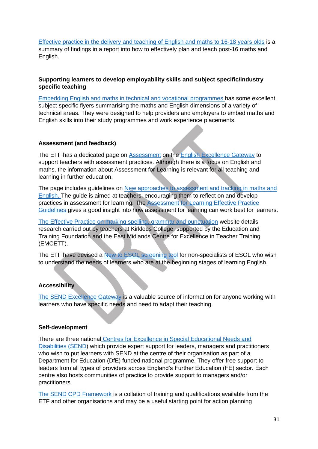[Effective practice in the delivery and teaching of English and maths to 16-18 years olds](https://repository.excellencegateway.org.uk/English_and_Mathematics_to_16-18_year_olds.pdf) is a summary of findings in a report into how to effectively plan and teach post-16 maths and English.

### **Supporting learners to develop employability skills and subject specific/industry specific teaching**

[Embedding English and maths in technical and vocational programmes](https://english.excellencegateway.org.uk/content/etf2691) has some excellent, subject specific flyers summarising the maths and English dimensions of a variety of technical areas. They were designed to help providers and employers to embed maths and English skills into their study programmes and work experience placements.

### **Assessment (and feedback)**

The ETF has a dedicated page on [Assessment](https://english.excellencegateway.org.uk/teaching-learning-and-assessment/assessment) on the [English Excellence Gateway](https://english.excellencegateway.org.uk/) to support teachers with assessment practices. Although there is a focus on English and maths, the information about Assessment for Learning is relevant for all teaching and learning in further education.

The page includes guidelines on [New approaches to assessment and tracking in maths and](https://repository.excellencegateway.org.uk/ETF_Assessment_for_Learning_FINAL.pdf)  [English. T](https://repository.excellencegateway.org.uk/ETF_Assessment_for_Learning_FINAL.pdf)he guide is aimed at teachers, encouraging them to reflect on and develop practices in assessment for learning. The [Assessment for Learning Effective Practice](https://repository.excellencegateway.org.uk/0019_ETF_Standards_Flyer_Digital.pdf)  [Guidelines](https://repository.excellencegateway.org.uk/0019_ETF_Standards_Flyer_Digital.pdf) gives a good insight into how assessment for learning can work best for learners.

[The Effective Practice on marking spelling, grammar and punctuation](https://markingtoolkit.wordpress.com/) website details research carried out by teachers at Kirklees College, supported by the Education and Training Foundation and the East Midlands Centre for Excellence in Teacher Training (EMCETT).

The ETF have devised a [New to ESOL screening tool](https://esol.excellencegateway.org.uk/sites/default/files/attachments/informational-page/New_to_ESOL_Screening_guidance_Aug_2019.pdf) for non-specialists of ESOL who wish to understand the needs of learners who are at the beginning stages of learning English.

### **Accessibility**

[The SEND Excellence Gateway](https://send.excellencegateway.org.uk/) is a valuable source of information for anyone working with learners who have specific needs and need to adapt their teaching.

#### **Self-development**

There are three national [Centres for Excellence in Special Educational Needs and](https://send.excellencegateway.org.uk/centres-for-excellence)  [Disabilities \(SEND\)](https://send.excellencegateway.org.uk/centres-for-excellence) which provide expert support for leaders, managers and practitioners who wish to put learners with SEND at the centre of their organisation as part of a Department for Education (DfE) funded national programme. They offer free support to leaders from all types of providers across England's Further Education (FE) sector. Each centre also hosts communities of practice to provide support to managers and/or practitioners.

[The SEND CPD Framework](https://www.excellencegateway.org.uk/content/etf2857?_gl=1*1csifi3*_ga*NDg3NTQ1ODUyLjE2Mzg3ODcyNDY.*_ga_6F0PEMWK3W*MTY0MzAyMjc4OS4xLjAuMTY0MzAyMjc5OC4w) is a collation of training and qualifications available from the ETF and other organisations and may be a useful starting point for action planning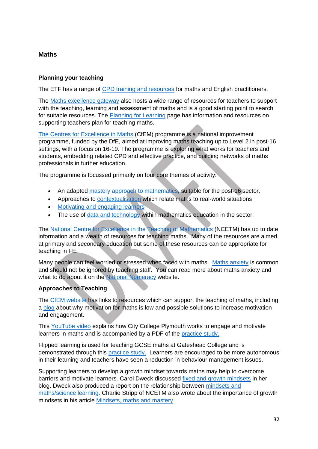### **Maths**

### **Planning your teaching**

The ETF has a range of [CPD training and resources](https://www.et-foundation.co.uk/supporting/professional-development/maths-and-english/) for maths and English practitioners.

The [Maths excellence gateway](https://maths.excellencegateway.org.uk/) also hosts a wide range of resources for teachers to support with the teaching, learning and assessment of maths and is a good starting point to search for suitable resources. The [Planning for Learning](https://maths.excellencegateway.org.uk/teaching-learning-and-assessment/planning-for-learning) page has information and resources on supporting teachers plan for teaching maths.

[The Centres for Excellence in Maths](https://www.et-foundation.co.uk/supporting/professional-development/maths-and-english/cfem/) (CfEM) programme is a national improvement programme, funded by the DfE, aimed at improving maths teaching up to Level 2 in post-16 settings, with a focus on 16-19. The programme is exploring what works for teachers and students, embedding related CPD and effective practice, and building networks of maths professionals in further education.

The programme is focussed primarily on four core themes of activity:

- An adapted [mastery approach to mathematics,](https://www.et-foundation.co.uk/wp-content/uploads/2020/03/CfEM_Mastery_Handbook.pdf) suitable for the post-16 sector.
- Approaches to [contextualisation](https://www.et-foundation.co.uk/wp-content/uploads/2020/03/CfEM_Contextualisation_Handbook.pdf) which relate maths to real-world situations
- [Motivating and engaging learners](https://www.et-foundation.co.uk/wp-content/uploads/2020/03/CfEM_Motivation-and-Engagement_Handbook.pdf)
- The use of [data and technology](https://www.et-foundation.co.uk/wp-content/uploads/2020/03/CfEM_Technology-and-Data_Handbook.pdf) within mathematics education in the sector.

The [National Centre for Excellence in the Teaching of Mathematics](https://www.ncetm.org.uk/) (NCETM) has up to date information and a wealth of resources for teaching maths. Many of the resources are aimed at primary and secondary education but some of these resources can be appropriate for teaching in FE.

Many people can feel worried or stressed when faced with maths. [Maths anxiety](https://www.nationalnumeracy.org.uk/what-issue/about-maths-anxiety) is common and should not be ignored by teaching staff. You can read more about maths anxiety and what to do about it on the [National Numeracy](https://www.nationalnumeracy.org.uk/) website.

### **Approaches to Teaching**

The [CfEM website](https://www.et-foundation.co.uk/supporting/professional-development/maths-and-english/cfem/) has links to resources which can support the teaching of maths, including a [blog](https://www.et-foundation.co.uk/cfem/cfem-blog-motivation-and-engagement/) about why motivation for maths is low and possible solutions to increase motivation and engagement.

This [YouTube video](https://www.youtube.com/watch?v=sbqda-XyT3U) explains how City College Plymouth works to engage and motivate learners in maths and is accompanied by a PDF of the [practice study.](https://www.et-foundation.co.uk/wp-content/uploads/2021/05/CfE_Motivation_Practice-study.pdf)

Flipped learning is used for teaching GCSE maths at Gateshead College and is demonstrated through this [practice study.](https://www.youtube.com/watch?v=ME2Jl9wYDpU) Learners are encouraged to be more autonomous in their learning and teachers have seen a reduction in behaviour management issues.

Supporting learners to develop a growth mindset towards maths may help to overcome barriers and motivate learners. Carol Dweck discussed [fixed and growth mindsets](https://fs.blog/carol-dweck-mindset/) in her blog. Dweck also produced a report on the relationship between [mindsets and](http://www.growthmindsetmaths.com/uploads/2/3/7/7/23776169/mindset_and_math_science_achievement_-_nov_2013.pdf)  [maths/science learning.](http://www.growthmindsetmaths.com/uploads/2/3/7/7/23776169/mindset_and_math_science_achievement_-_nov_2013.pdf) Charlie Stripp of NCETM also wrote about the importance of growth mindsets in his article [Mindsets, maths and mastery.](https://www.ncetm.org.uk/features/maths-mindsets-and-mastery/)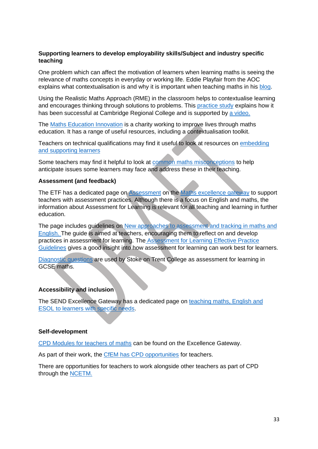### **Supporting learners to develop employability skills/Subject and industry specific teaching**

One problem which can affect the motivation of learners when learning maths is seeing the relevance of maths concepts in everyday or working life. Eddie Playfair from the AOC explains what contextualisation is and why it is important when teaching maths in his [blog.](https://www.et-foundation.co.uk/cfem/cfem-blog-what-is-contextualisation/)

Using the Realistic Maths Approach (RME) in the classroom helps to contextualise learning and encourages thinking through solutions to problems. This [practice study](https://www.et-foundation.co.uk/wp-content/uploads/2021/05/CfE_Contextualisation_Practice-study.pdf) explains how it has been successful at Cambridge Regional College and is supported by [a video.](https://www.youtube.com/watch?v=HHJIqU1hYo8) 

The [Maths Education Innovation](https://mei.org.uk/resource/9ae5796b-cf76-4ee1-ac9b-08d967d68474/) is a charity working to improve lives through maths education. It has a range of useful resources, including a contextualisation toolkit.

Teachers on technical qualifications may find it useful to look at resources on [embedding](https://maths.excellencegateway.org.uk/teaching-learning-and-assessment/embedding-and-developing)  [and supporting learners](https://maths.excellencegateway.org.uk/teaching-learning-and-assessment/embedding-and-developing) 

Some teachers may find it helpful to look at [common maths misconceptions](https://www.stem.org.uk/elibrary/collection/3944) to help anticipate issues some learners may face and address these in their teaching.

#### **Assessment (and feedback)**

The ETF has a dedicated page on [Assessment](https://english.excellencegateway.org.uk/teaching-learning-and-assessment/assessment) on the [Maths excellence gateway](https://maths.excellencegateway.org.uk/) to support teachers with assessment practices. Although there is a focus on English and maths, the information about Assessment for Learning is relevant for all teaching and learning in further education.

The page includes guidelines on [New approaches to assessment and tracking in maths and](https://repository.excellencegateway.org.uk/ETF_Assessment_for_Learning_FINAL.pdf)  [English. T](https://repository.excellencegateway.org.uk/ETF_Assessment_for_Learning_FINAL.pdf)he guide is aimed at teachers, encouraging them to reflect on and develop practices in assessment for learning. The [Assessment for Learning Effective Practice](https://repository.excellencegateway.org.uk/0019_ETF_Standards_Flyer_Digital.pdf)  [Guidelines](https://repository.excellencegateway.org.uk/0019_ETF_Standards_Flyer_Digital.pdf) gives a good insight into how assessment for learning can work best for learners.

[Diagnostic questions](https://www.youtube.com/watch?v=EI0QuqbVxNA) are used by Stoke on Trent College as assessment for learning in GCSE maths.

#### **Accessibility and inclusion**

The SEND Excellence Gateway has a dedicated page on [teaching maths, English and](https://send.excellencegateway.org.uk/maths-english-and-esol)  [ESOL to learners with specific needs.](https://send.excellencegateway.org.uk/maths-english-and-esol)

#### **Self-development**

CPD Modules [for teachers of maths](https://maths.excellencegateway.org.uk/cpd-modules) can be found on the Excellence Gateway.

As part of their work, the [CfEM has CPD opportunities](https://www.et-foundation.co.uk/supporting/professional-development/maths-and-english/cfem/) for teachers.

There are opportunities for teachers to work alongside other teachers as part of CPD through the [NCETM.](https://www.ncetm.org.uk/professional-development/)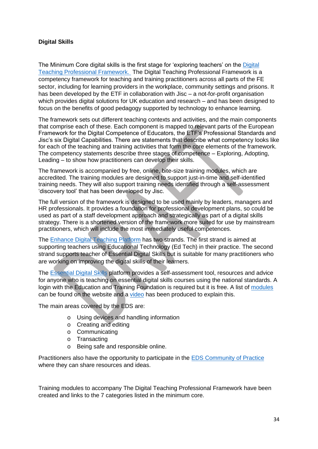### **Digital Skills**

The Minimum Core digital skills is the first stage for 'exploring teachers' on the [Digital](https://enhance.etfoundation.co.uk/dtpf/)  [Teaching Professional Framework.](https://enhance.etfoundation.co.uk/dtpf/) The Digital Teaching Professional Framework is a competency framework for teaching and training practitioners across all parts of the FE sector, including for learning providers in the workplace, community settings and prisons. It has been developed by the ETF in collaboration with Jisc – a not-for-profit organisation which provides digital solutions for UK education and research – and has been designed to focus on the benefits of good pedagogy supported by technology to enhance learning.

The framework sets out different teaching contexts and activities, and the main components that comprise each of these. Each component is mapped to relevant parts of the European Framework for the Digital Competence of Educators, the ETF's Professional Standards and Jisc's six Digital Capabilities. There are statements that describe what competency looks like for each of the teaching and training activities that form the core elements of the framework. The competency statements describe three stages of competence – Exploring, Adopting, Leading – to show how practitioners can develop their skills.

The framework is accompanied by free, online, bite-size training modules, which are accredited. The training modules are designed to support just-in-time and self-identified training needs. They will also support training needs identified through a self-assessment 'discovery tool' that has been developed by Jisc.

The full version of the framework is designed to be used mainly by leaders, managers and HR professionals. It provides a foundation for professional development plans, so could be used as part of a staff development approach and strategically as part of a digital skills strategy. There is a shortened version of the framework more suited for use by mainstream practitioners, which will include the most immediately useful competences.

The [Enhance Digital Teaching Platform](https://enhance.etfoundation.co.uk/) has two strands. The first strand is aimed at supporting teachers using Educational Technology (Ed Tech) in their practice. The second strand supports teacher of Essential Digital Skills but is suitable for many practitioners who are working on improving the digital skills of their learners.

The Essential [Digital Skills](https://enhance.etfoundation.co.uk/eds) platform provides a self-assessment tool, resources and advice for anyone who is teaching on essential digital skills courses using the national standards. A login with the Education and Training Foundation is required but it is free. A list of [modules](https://enhance.etfoundation.co.uk/eds/interactive) can be found on the website and a [video](https://www.youtube.com/watch?v=Gt5Eixd2X_Y) has been produced to explain this.

The main areas covered by the EDS are:

- o Using devices and handling information
- o Creating and editing
- o Communicating
- o Transacting
- o Being safe and responsible online.

Practitioners also have the opportunity to participate in the [EDS Community of Practice](https://enhance.etfoundation.co.uk/eds/community-of-practice) where they can share resources and ideas.

Training modules to accompany The Digital Teaching Professional Framework have been created and links to the 7 categories listed in the minimum core.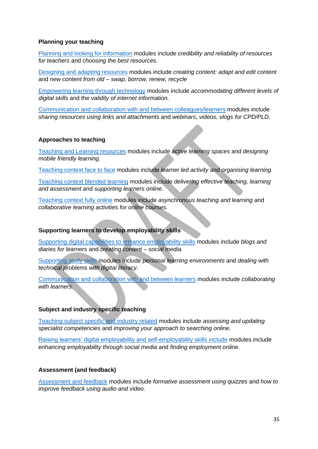#### **Planning your teaching**

[Planning and looking for information](https://enhance.etfoundation.co.uk/dtpf/view/1) modules include *credibility and reliability of resources for teachers* and *choosing the best resources.*

[Designing and adapting resources](https://enhance.etfoundation.co.uk/dtpf/view/2) modules include *creating content: adapt and edit content* and *new content from old – swap, borrow, renew, recycle*

[Empowering learning through technology](https://enhance.etfoundation.co.uk/dtpf/view/3) modules include *accommodating different levels of digital skills* and the *validity of internet information.*

[Communication and collaboration with and between colleagues/learners](https://enhance.etfoundation.co.uk/dtpf/view/4) modules include *sharing resources using links and attachments* and *webinars, videos, vlogs for CPD/PLD*.

#### **Approaches to teaching**

[Teaching and Learning resources](https://enhance.etfoundation.co.uk/dtpf/view/5) modules include *active learning spaces* and *designing mobile friendly learning.* 

[Teaching context face to face](https://enhance.etfoundation.co.uk/dtpf/view/6) modules include *learner led activity* and *organising learning.*

[Teaching context blended learning](https://enhance.etfoundation.co.uk/dtpf/view/7) modules include *delivering effective teaching, learning and assessment* and *supporting learners online*.

[Teaching context fully online](https://enhance.etfoundation.co.uk/dtpf/view/8) modules include *asynchronous teaching and learning* and *collaborative learning activities for online courses.* 

### **Supporting learners to develop employability skills**

[Supporting digital capabilities to enhance employability skills](https://enhance.etfoundation.co.uk/dtpf/view/9) modules include *blogs and diaries for learners* and *creating content – social media.* 

[Supporting study skills](https://enhance.etfoundation.co.uk/dtpf/view/10) modules include *personal learning environments* and *dealing with technical problems with digital literacy.*

[Communication and collaboration with and between learners](https://enhance.etfoundation.co.uk/dtpf/view/11) modules include *collaborating with learners.*

#### **Subject and industry specific teaching**

[Teaching subject specific and industry related](https://enhance.etfoundation.co.uk/dtpf/view/12) modules include *assessing and updating specialist competencies* and *improving your approach to searching online.* 

[Raising learners' digital employability and self-employability skills include](https://etfoundation-my.sharepoint.com/personal/debbie_grace_etfoundation_co_uk/Documents/Minimum%20core/Raising%20learners’%20digital%20employability%20and%20self-employability%20skills%20include) modules include *enhancing employability through social media* and *finding employment online*.

#### **Assessment (and feedback)**

[Assessment and feedback](https://enhance.etfoundation.co.uk/dtpf/view/14) modules include *formative assessment using quizzes* and *how to improve feedback using audio and video.*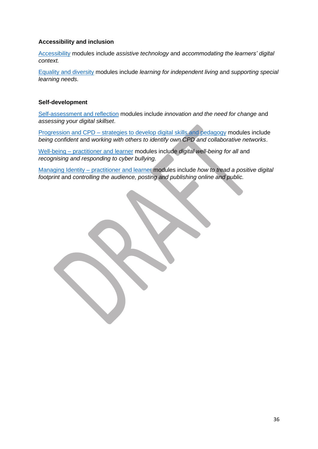### **Accessibility and inclusion**

[Accessibility](https://enhance.etfoundation.co.uk/dtpf/view/15) modules include *assistive technology* and *accommodating the learners' digital context.* 

[Equality and diversity](https://enhance.etfoundation.co.uk/dtpf/view/16) modules include *learning for independent living* and *supporting special learning needs.* 

#### **Self-development**

[Self-assessment and reflection](https://enhance.etfoundation.co.uk/dtpf/view/17) modules include *innovation and the need for change* and *assessing your digital skillset*.

Progression and CPD – [strategies to develop digital skills and pedagogy](https://enhance.etfoundation.co.uk/dtpf/view/18) modules include *being confident* and *working with others to identify own CPD and collaborative networks*.

Well-being – [practitioner and learner](https://enhance.etfoundation.co.uk/dtpf/view/19) modules include *digital well-being for all* and *recognising and responding to cyber bullying.*

Managing Identity – [practitioner and learner](https://enhance.etfoundation.co.uk/dtpf/view/20) modules include *how to tread a positive digital footprint* and *controlling the audience, posting and publishing online and public.*

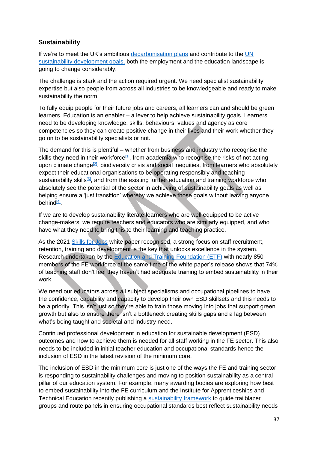# **Sustainability**

If we're to meet the UK's ambitious [decarbonisation plans](https://www.gov.uk/government/news/uk-enshrines-new-target-in-law-to-slash-emissions-by-78-by-2035) and contribute to the [UN](https://sdgdata.gov.uk/)  [sustainability development goals,](https://sdgdata.gov.uk/) both the employment and the education landscape is going to change considerably.

The challenge is stark and the action required urgent. We need specialist sustainability expertise but also people from across all industries to be knowledgeable and ready to make sustainability the norm.

To fully equip people for their future jobs and careers, all learners can and should be green learners. Education is an enabler – a lever to help achieve sustainability goals. Learners need to be developing knowledge, skills, behaviours, values and agency as core competencies so they can create positive change in their lives and their work whether they go on to be sustainability specialists or not.

The demand for this is plentiful – whether from business and industry who recognise the skills they need in their workforce<sup>[\[1\]](https://ukc-word-edit.officeapps.live.com/we/wordeditorframe.aspx?ui=en%2DUS&rs=en%2DUS&wopisrc=https%3A%2F%2Fetfoundation-my.sharepoint.com%2Fpersonal%2Fdebbie_grace_etfoundation_co_uk%2F_vti_bin%2Fwopi.ashx%2Ffiles%2F49065d28f8cb4ee39c6f6302c6dde118&wdprevioussession=faf63ae5%2D2e87%2D4cad%2Dbb5a%2D6cd84c304db5&wdenableroaming=1&mscc=1&wdodb=1&hid=2660FA9F-508A-3000-4790-724ED7688349&wdorigin=Other&jsapi=1&jsapiver=v1&newsession=1&corrid=ac833b4b-faee-1ccc-3a73-7de03a30dbb9&usid=ac833b4b-faee-1ccc-3a73-7de03a30dbb9&sftc=1&mtf=1&sfp=1&instantedit=1&wopicomplete=1&wdredirectionreason=Unified_SingleFlush&preseededsessionkey=edea7e76-bb26-48f2-41fd-4019152e2ad7&preseededwacsessionid=ac833b4b-faee-1ccc-3a73-7de03a30dbb9&rct=Medium&ctp=LeastProtected#_ftn1)</sup>, from academia who recognise the risks of not acting upon climate change<sup>[\[2\]](https://ukc-word-edit.officeapps.live.com/we/wordeditorframe.aspx?ui=en%2DUS&rs=en%2DUS&wopisrc=https%3A%2F%2Fetfoundation-my.sharepoint.com%2Fpersonal%2Fdebbie_grace_etfoundation_co_uk%2F_vti_bin%2Fwopi.ashx%2Ffiles%2F49065d28f8cb4ee39c6f6302c6dde118&wdprevioussession=faf63ae5%2D2e87%2D4cad%2Dbb5a%2D6cd84c304db5&wdenableroaming=1&mscc=1&wdodb=1&hid=2660FA9F-508A-3000-4790-724ED7688349&wdorigin=Other&jsapi=1&jsapiver=v1&newsession=1&corrid=ac833b4b-faee-1ccc-3a73-7de03a30dbb9&usid=ac833b4b-faee-1ccc-3a73-7de03a30dbb9&sftc=1&mtf=1&sfp=1&instantedit=1&wopicomplete=1&wdredirectionreason=Unified_SingleFlush&preseededsessionkey=edea7e76-bb26-48f2-41fd-4019152e2ad7&preseededwacsessionid=ac833b4b-faee-1ccc-3a73-7de03a30dbb9&rct=Medium&ctp=LeastProtected#_ftn2)</sup>, biodiversity crisis and social inequities, from learners who absolutely expect their educational organisations to be operating responsibly and teaching sustainability skills<sup>[\[3\]](https://ukc-word-edit.officeapps.live.com/we/wordeditorframe.aspx?ui=en%2DUS&rs=en%2DUS&wopisrc=https%3A%2F%2Fetfoundation-my.sharepoint.com%2Fpersonal%2Fdebbie_grace_etfoundation_co_uk%2F_vti_bin%2Fwopi.ashx%2Ffiles%2F49065d28f8cb4ee39c6f6302c6dde118&wdprevioussession=faf63ae5%2D2e87%2D4cad%2Dbb5a%2D6cd84c304db5&wdenableroaming=1&mscc=1&wdodb=1&hid=2660FA9F-508A-3000-4790-724ED7688349&wdorigin=Other&jsapi=1&jsapiver=v1&newsession=1&corrid=ac833b4b-faee-1ccc-3a73-7de03a30dbb9&usid=ac833b4b-faee-1ccc-3a73-7de03a30dbb9&sftc=1&mtf=1&sfp=1&instantedit=1&wopicomplete=1&wdredirectionreason=Unified_SingleFlush&preseededsessionkey=edea7e76-bb26-48f2-41fd-4019152e2ad7&preseededwacsessionid=ac833b4b-faee-1ccc-3a73-7de03a30dbb9&rct=Medium&ctp=LeastProtected#_ftn3)</sup>, and from the existing further education and training workforce who absolutely see the potential of the sector in achieving of sustainability goals as well as helping ensure a 'just transition' whereby we achieve those goals without leaving anyone behind<sup>[\[4\]](https://ukc-word-edit.officeapps.live.com/we/wordeditorframe.aspx?ui=en%2DUS&rs=en%2DUS&wopisrc=https%3A%2F%2Fetfoundation-my.sharepoint.com%2Fpersonal%2Fdebbie_grace_etfoundation_co_uk%2F_vti_bin%2Fwopi.ashx%2Ffiles%2F49065d28f8cb4ee39c6f6302c6dde118&wdprevioussession=faf63ae5%2D2e87%2D4cad%2Dbb5a%2D6cd84c304db5&wdenableroaming=1&mscc=1&wdodb=1&hid=2660FA9F-508A-3000-4790-724ED7688349&wdorigin=Other&jsapi=1&jsapiver=v1&newsession=1&corrid=ac833b4b-faee-1ccc-3a73-7de03a30dbb9&usid=ac833b4b-faee-1ccc-3a73-7de03a30dbb9&sftc=1&mtf=1&sfp=1&instantedit=1&wopicomplete=1&wdredirectionreason=Unified_SingleFlush&preseededsessionkey=edea7e76-bb26-48f2-41fd-4019152e2ad7&preseededwacsessionid=ac833b4b-faee-1ccc-3a73-7de03a30dbb9&rct=Medium&ctp=LeastProtected#_ftn4)</sup>.

If we are to develop sustainability literate learners who are well equipped to be active change-makers, we require teachers and educators who are similarly equipped, and who have what they need to bring this to their learning and teaching practice.

As the 2021 [Skills for Jobs](https://www.gov.uk/government/publications/skills-for-jobs-lifelong-learning-for-opportunity-and-growth) white paper recognised, a strong focus on staff recruitment, retention, training and development is the key that unlocks excellence in the system. Research undertaken by the [Education and Training Foundation \(ETF\)](https://www.et-foundation.co.uk/) with nearly 850 members of the FE workforce at the same time of the white paper's release shows that 74% of teaching staff don't feel they haven't had adequate training to embed sustainability in their work.

We need our educators across all subject specialisms and occupational pipelines to have the confidence, capability and capacity to develop their own ESD skillsets and this needs to be a priority. This isn't just so they're able to train those moving into jobs that support green growth but also to ensure there isn't a bottleneck creating skills gaps and a lag between what's being taught and societal and industry need.

Continued professional development in education for sustainable development (ESD) outcomes and how to achieve them is needed for all staff working in the FE sector. This also needs to be included in initial teacher education and occupational standards hence the inclusion of ESD in the latest revision of the minimum core.

The inclusion of ESD in the minimum core is just one of the ways the FE and training sector is responding to sustainability challenges and moving to position sustainability as a central pillar of our education system. For example, many awarding bodies are exploring how best to embed sustainability into the FE curriculum and the Institute for Apprenticeships and Technical Education recently publishing a [sustainability framework](https://www.instituteforapprenticeships.org/developing-new-apprenticeships/resources/sustainability-framework/) to guide trailblazer groups and route panels in ensuring occupational standards best reflect sustainability needs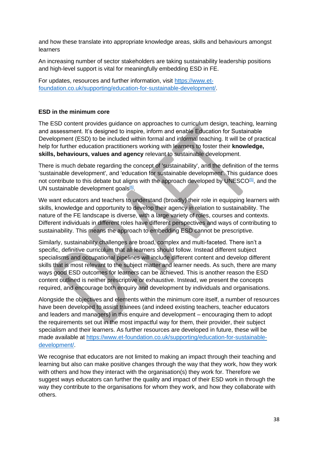and how these translate into appropriate knowledge areas, skills and behaviours amongst learners

An increasing number of sector stakeholders are taking sustainability leadership positions and high-level support is vital for meaningfully embedding ESD in FE.

For updates, resources and further information, visit [https://www.et](https://www.et-foundation.co.uk/supporting/education-for-sustainable-development/)[foundation.co.uk/supporting/education-for-sustainable-development/.](https://www.et-foundation.co.uk/supporting/education-for-sustainable-development/)

# **ESD in the minimum core**

The ESD content provides guidance on approaches to curriculum design, teaching, learning and assessment. It's designed to inspire, inform and enable Education for Sustainable Development (ESD) to be included within formal and informal teaching. It will be of practical help for further education practitioners working with learners to foster their **knowledge, skills, behaviours, values and agency** relevant to sustainable development.

There is much debate regarding the concept of 'sustainability', and the definition of the terms 'sustainable development', and 'education for sustainable development'. This guidance does not contribute to this debate but aligns with the approach developed by UNESCO $[5]$ , and the UN sustainable development goals<sup>[\[6\]](https://ukc-word-edit.officeapps.live.com/we/wordeditorframe.aspx?ui=en%2DUS&rs=en%2DUS&wopisrc=https%3A%2F%2Fetfoundation-my.sharepoint.com%2Fpersonal%2Fdebbie_grace_etfoundation_co_uk%2F_vti_bin%2Fwopi.ashx%2Ffiles%2F49065d28f8cb4ee39c6f6302c6dde118&wdprevioussession=faf63ae5%2D2e87%2D4cad%2Dbb5a%2D6cd84c304db5&wdenableroaming=1&mscc=1&wdodb=1&hid=2660FA9F-508A-3000-4790-724ED7688349&wdorigin=Other&jsapi=1&jsapiver=v1&newsession=1&corrid=ac833b4b-faee-1ccc-3a73-7de03a30dbb9&usid=ac833b4b-faee-1ccc-3a73-7de03a30dbb9&sftc=1&mtf=1&sfp=1&instantedit=1&wopicomplete=1&wdredirectionreason=Unified_SingleFlush&preseededsessionkey=edea7e76-bb26-48f2-41fd-4019152e2ad7&preseededwacsessionid=ac833b4b-faee-1ccc-3a73-7de03a30dbb9&rct=Medium&ctp=LeastProtected#_ftn6)</sup>.

We want educators and teachers to understand (broadly) their role in equipping learners with skills, knowledge and opportunity to develop their agency in relation to sustainability. The nature of the FE landscape is diverse, with a large variety of roles, courses and contexts. Different individuals in different roles have different perspectives and ways of contributing to sustainability. This means the approach to embedding ESD cannot be prescriptive.

Similarly, sustainability challenges are broad, complex and multi-faceted. There isn't a specific, definitive curriculum that all learners should follow. Instead different subject specialisms and occupational pipelines will include different content and develop different skills that is most relevant to the subject matter and learner needs. As such, there are many ways good ESD outcomes for learners can be achieved. This is another reason the ESD content outlined is neither prescriptive or exhaustive. Instead, we present the concepts required, and encourage both enquiry and development by individuals and organisations.

Alongside the objectives and elements within the minimum core itself, a number of resources have been developed to assist trainees (and indeed existing teachers, teacher educators and leaders and managers) in this enquire and development – encouraging them to adopt the requirements set out in the most impactful way for them, their provider, their subject specialism and their learners. As further resources are developed in future, these will be made available at [https://www.et-foundation.co.uk/supporting/education-for-sustainable](https://www.et-foundation.co.uk/supporting/education-for-sustainable-development/)[development/.](https://www.et-foundation.co.uk/supporting/education-for-sustainable-development/)

We recognise that educators are not limited to making an impact through their teaching and learning but also can make positive changes through the way that they work, how they work with others and how they interact with the organisation(s) they work for. Therefore we suggest ways educators can further the quality and impact of their ESD work in through the way they contribute to the organisations for whom they work, and how they collaborate with others.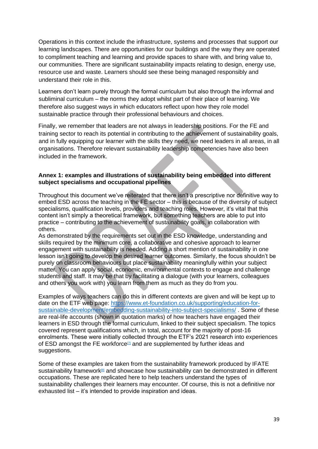Operations in this context include the infrastructure, systems and processes that support our learning landscapes. There are opportunities for our buildings and the way they are operated to compliment teaching and learning and provide spaces to share with, and bring value to, our communities. There are significant sustainability impacts relating to design, energy use, resource use and waste. Learners should see these being managed responsibly and understand their role in this.

Learners don't learn purely through the formal curriculum but also through the informal and subliminal curriculum – the norms they adopt whilst part of their place of learning. We therefore also suggest ways in which educators reflect upon how they role model sustainable practice through their professional behaviours and choices.

Finally, we remember that leaders are not always in leadership positions. For the FE and training sector to reach its potential in contributing to the achievement of sustainability goals, and in fully equipping our learner with the skills they need, we need leaders in all areas, in all organisations. Therefore relevant sustainability leadership competencies have also been included in the framework.

#### **Annex 1: examples and illustrations of sustainability being embedded into different subject specialisms and occupational pipelines**

Throughout this document we've reiterated that there isn't a prescriptive nor definitive way to embed ESD across the teaching in the FE sector – this is because of the diversity of subject specialisms, qualification levels, providers and teaching roles. However, it's vital that this content isn't simply a theoretical framework, but something teachers are able to put into practice – contributing to the achievement of sustainability goals, in collaboration with others.

As demonstrated by the requirements set out in the ESD knowledge, understanding and skills required by the minimum core, a collaborative and cohesive approach to learner engagement with sustainability is needed. Adding a short mention of sustainability in one lesson isn't going to develop the desired learner outcomes. Similarly, the focus shouldn't be purely on classroom behaviours but place sustainability meaningfully within your subject matter. You can apply social, economic, environmental contexts to engage and challenge students and staff. It may be that by facilitating a dialogue (with your learners, colleagues and others you work with) you learn from them as much as they do from you.

Examples of ways teachers can do this in different contexts are given and will be kept up to date on the ETF web page: [https://www.et-foundation.co.uk/supporting/education-for](https://www.et-foundation.co.uk/supporting/education-for-sustainable-development/embedding-sustainability-into-subject-specialisms/)[sustainable-development/embedding-sustainability-into-subject-specialisms/](https://www.et-foundation.co.uk/supporting/education-for-sustainable-development/embedding-sustainability-into-subject-specialisms/) . Some of these are real-life accounts (shown in quotation marks) of how teachers have engaged their learners in ESD through the formal curriculum, linked to their subject specialism. The topics covered represent qualifications which, in total, account for the majority of post-16 enrolments. These were initially collected through the ETF's 2021 research into experiences of ESD amongst the FE workforce $\mathbb{Z}$  and are supplemented by further ideas and suggestions.

Some of these examples are taken from the sustainability framework produced by IFATE sustainability framework<sup>[\[8\]](https://ukc-word-edit.officeapps.live.com/we/wordeditorframe.aspx?ui=en%2DUS&rs=en%2DUS&wopisrc=https%3A%2F%2Fetfoundation-my.sharepoint.com%2Fpersonal%2Fdebbie_grace_etfoundation_co_uk%2F_vti_bin%2Fwopi.ashx%2Ffiles%2F49065d28f8cb4ee39c6f6302c6dde118&wdprevioussession=faf63ae5%2D2e87%2D4cad%2Dbb5a%2D6cd84c304db5&wdenableroaming=1&mscc=1&wdodb=1&hid=2660FA9F-508A-3000-4790-724ED7688349&wdorigin=Other&jsapi=1&jsapiver=v1&newsession=1&corrid=ac833b4b-faee-1ccc-3a73-7de03a30dbb9&usid=ac833b4b-faee-1ccc-3a73-7de03a30dbb9&sftc=1&mtf=1&sfp=1&instantedit=1&wopicomplete=1&wdredirectionreason=Unified_SingleFlush&preseededsessionkey=edea7e76-bb26-48f2-41fd-4019152e2ad7&preseededwacsessionid=ac833b4b-faee-1ccc-3a73-7de03a30dbb9&rct=Medium&ctp=LeastProtected#_ftn8)</sup> and showcase how sustainability can be demonstrated in different occupations. These are replicated here to help teachers understand the types of sustainability challenges their learners may encounter. Of course, this is not a definitive nor exhausted list – it's intended to provide inspiration and ideas.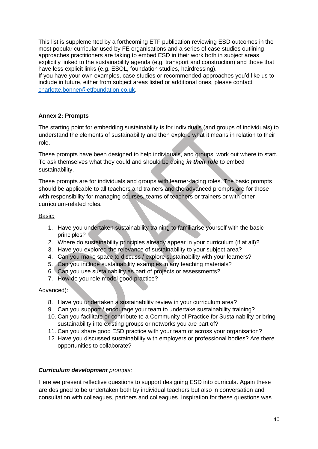This list is supplemented by a forthcoming ETF publication reviewing ESD outcomes in the most popular curricular used by FE organisations and a series of case studies outlining approaches practitioners are taking to embed ESD in their work both in subject areas explicitly linked to the sustainability agenda (e.g. transport and construction) and those that have less explicit links (e.g. ESOL, foundation studies, hairdressing). If you have your own examples, case studies or recommended approaches you'd like us to

include in future, either from subject areas listed or additional ones, please contact [charlotte.bonner@etfoundation.co.uk](mailto:charlotte.bonner@etfoundation.co.uk).

### **Annex 2: Prompts**

The starting point for embedding sustainability is for individuals (and groups of individuals) to understand the elements of sustainability and then explore what it means in relation to their role.

These prompts have been designed to help individuals, and groups, work out where to start. To ask themselves what they could and should be doing *in their role* to embed sustainability.

These prompts are for individuals and groups with learner-facing roles. The basic prompts should be applicable to all teachers and trainers and the advanced prompts are for those with responsibility for managing courses, teams of teachers or trainers or with other curriculum-related roles.

### Basic:

- 1. Have you undertaken sustainability training to familiarise yourself with the basic principles?
- 2. Where do sustainability principles already appear in your curriculum (if at all)?
- 3. Have you explored the relevance of sustainability to your subject area?
- 4. Can you make space to discuss / explore sustainability with your learners?
- 5. Can you include sustainability examples in any teaching materials?
- 6. Can you use sustainability as part of projects or assessments?
- 7. How do you role model good practice?

### Advanced):

- 8. Have you undertaken a sustainability review in your curriculum area?
- 9. Can you support / encourage your team to undertake sustainability training?
- 10. Can you facilitate or contribute to a Community of Practice for Sustainability or bring sustainability into existing groups or networks you are part of?
- 11. Can you share good ESD practice with your team or across your organisation?
- 12. Have you discussed sustainability with employers or professional bodies? Are there opportunities to collaborate?

### *Curriculum development prompts:*

Here we present reflective questions to support designing ESD into curricula. Again these are designed to be undertaken both by individual teachers but also in conversation and consultation with colleagues, partners and colleagues. Inspiration for these questions was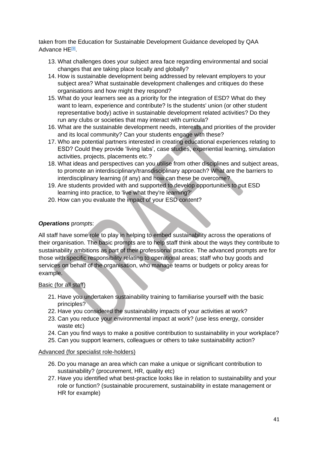taken from the Education for Sustainable Development Guidance developed by QAA Advance HE<sup>[\[9\]](https://ukc-word-edit.officeapps.live.com/we/wordeditorframe.aspx?ui=en%2DUS&rs=en%2DUS&wopisrc=https%3A%2F%2Fetfoundation-my.sharepoint.com%2Fpersonal%2Fdebbie_grace_etfoundation_co_uk%2F_vti_bin%2Fwopi.ashx%2Ffiles%2F49065d28f8cb4ee39c6f6302c6dde118&wdprevioussession=faf63ae5%2D2e87%2D4cad%2Dbb5a%2D6cd84c304db5&wdenableroaming=1&mscc=1&wdodb=1&hid=2660FA9F-508A-3000-4790-724ED7688349&wdorigin=Other&jsapi=1&jsapiver=v1&newsession=1&corrid=ac833b4b-faee-1ccc-3a73-7de03a30dbb9&usid=ac833b4b-faee-1ccc-3a73-7de03a30dbb9&sftc=1&mtf=1&sfp=1&instantedit=1&wopicomplete=1&wdredirectionreason=Unified_SingleFlush&preseededsessionkey=edea7e76-bb26-48f2-41fd-4019152e2ad7&preseededwacsessionid=ac833b4b-faee-1ccc-3a73-7de03a30dbb9&rct=Medium&ctp=LeastProtected#_ftn9)</sup>.

- 13. What challenges does your subject area face regarding environmental and social changes that are taking place locally and globally?
- 14. How is sustainable development being addressed by relevant employers to your subject area? What sustainable development challenges and critiques do these organisations and how might they respond?
- 15. What do your learners see as a priority for the integration of ESD? What do they want to learn, experience and contribute? Is the students' union (or other student representative body) active in sustainable development related activities? Do they run any clubs or societies that may interact with curricula?
- 16. What are the sustainable development needs, interests and priorities of the provider and its local community? Can your students engage with these?
- 17. Who are potential partners interested in creating educational experiences relating to ESD? Could they provide 'living labs', case studies, experiential learning, simulation activities, projects, placements etc.?
- 18. What ideas and perspectives can you utilise from other disciplines and subject areas, to promote an interdisciplinary/transdisciplinary approach? What are the barriers to interdisciplinary learning (if any) and how can these be overcome?
- 19. Are students provided with and supported to develop opportunities to put ESD learning into practice, to 'live what they're learning?'
- 20. How can you evaluate the impact of your ESD content?

### *Operations* p*rompt*s:

All staff have some role to play in helping to embed sustainability across the operations of their organisation. The basic prompts are to help staff think about the ways they contribute to sustainability ambitions as part of their professional practice. The advanced prompts are for those with specific responsibility relating to operational areas; staff who buy goods and services on behalf of the organisation, who manage teams or budgets or policy areas for example.

#### Basic (for all staff)

- 21. Have you undertaken sustainability training to familiarise yourself with the basic principles?
- 22. Have you considered the sustainability impacts of your activities at work?
- 23. Can you reduce your environmental impact at work? (use less energy, consider waste etc)
- 24. Can you find ways to make a positive contribution to sustainability in your workplace?
- 25. Can you support learners, colleagues or others to take sustainability action?

#### Advanced (for specialist role-holders)

- 26. Do you manage an area which can make a unique or significant contribution to sustainability? (procurement, HR, quality etc)
- 27. Have you identified what best-practice looks like in relation to sustainability and your role or function? (sustainable procurement, sustainability in estate management or HR for example)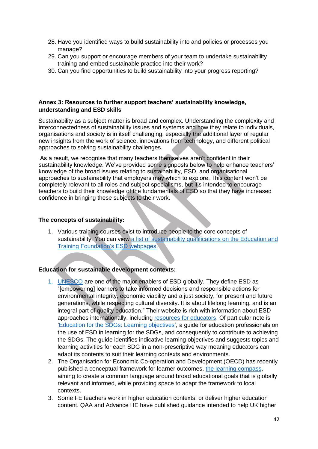- 28. Have you identified ways to build sustainability into and policies or processes you manage?
- 29. Can you support or encourage members of your team to undertake sustainability training and embed sustainable practice into their work?
- 30. Can you find opportunities to build sustainability into your progress reporting?

#### **Annex 3: Resources to further support teachers' sustainability knowledge, understanding and ESD skills**

Sustainability as a subject matter is broad and complex. Understanding the complexity and interconnectedness of sustainability issues and systems and how they relate to individuals, organisations and society is in itself challenging, especially the additional layer of regular new insights from the work of science, innovations from technology, and different political approaches to solving sustainability challenges.

As a result, we recognise that many teachers themselves aren't confident in their sustainability knowledge. We've provided some signposts below to help enhance teachers' knowledge of the broad issues relating to sustainability, ESD, and organisational approaches to sustainability that employers may which to explore. This content won't be completely relevant to all roles and subject specialisms, but it's intended to encourage teachers to build their knowledge of the fundamentals of ESD so that they have increased confidence in bringing these subjects to their work.

#### **The concepts of sustainability:**

1. Various training courses exist to introduce people to the core concepts of sustainability. You can view a list of sustainability qualifications on the Education and [Training Foundation's ESD webpages.](https://www.et-foundation.co.uk/supporting/education-for-sustainable-development)

#### **Education for sustainable development contexts:**

- 1. [UNESCO](https://en.unesco.org/themes/education-sustainable-development/what-is/esd) are one of the major enablers of ESD globally. They define ESD as "[empowering] learners to take informed decisions and responsible actions for environmental integrity, economic viability and a just society, for present and future generations, while respecting cultural diversity. It is about lifelong learning, and is an integral part of quality education." Their website is rich with information about ESD approaches internationally, including [resources for educators.](https://en.unesco.org/themes/education/sdgs/material) Of particular note is ['Education for the SDGs: Learning objectives'](https://www.unesco.de/sites/default/files/2018-08/unesco_education_for_sustainable_development_goals.pdf), a guide for education professionals on the use of ESD in learning for the SDGs, and consequently to contribute to achieving the SDGs. The guide identifies indicative learning objectives and suggests topics and learning activities for each SDG in a non-prescriptive way meaning educators can adapt its contents to suit their learning contexts and environments.
- 2. The Organisation for Economic Co-operation and Development (OECD) has recently published a conceptual framework for learner outcomes, [the learning](http://www.oecd.org/education/2030-project/teaching-and-learning/learning/) compass, aiming to create a common language around broad educational goals that is globally relevant and informed, while providing space to adapt the framework to local contexts.
- 3. Some FE teachers work in higher education contexts, or deliver higher education content. QAA and Advance HE have published guidance intended to help UK higher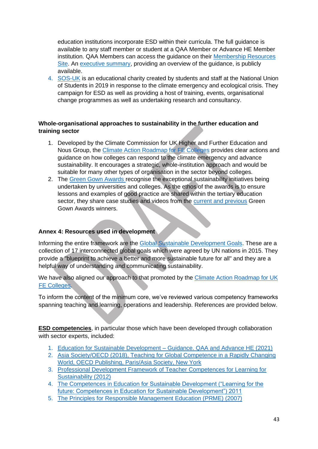education institutions incorporate ESD within their curricula. The full guidance is available to any staff member or student at a QAA Member or Advance HE Member institution. QAA Members can access the guidance on their [Membership Resources](https://membershipresources.qaa.ac.uk/s/article/Education-for-Sustainable-Development-Guidance)  [Site.](https://membershipresources.qaa.ac.uk/s/article/Education-for-Sustainable-Development-Guidance) An [executive summary,](https://www.qaa.ac.uk/docs/qaa/guidance/education-for-sustainable-development-guidance-executive-summary.pdf) providing an overview of the guidance, is publicly available.

4. [SOS-UK](https://www.sos-uk.org/) is an educational charity created by students and staff at the National Union of Students in 2019 in response to the climate emergency and ecological crisis. They campaign for ESD as well as providing a host of training, events, organisational change programmes as well as undertaking research and consultancy.

# **Whole-organisational approaches to sustainability in the further education and training sector**

- 1. Developed by the Climate Commission for UK Higher and Further Education and Nous Group, the [Climate Action Roadmap for FE Colleges](https://www.eauc.org.uk/7033) provides clear actions and guidance on how colleges can respond to the climate emergency and advance sustainability. It encourages a strategic, whole-institution approach and would be suitable for many other types of organisation in the sector beyond colleges.
- 2. The [Green Gown Awards r](https://www.greengownawards.org/)ecognise the exceptional sustainability initiatives being undertaken by universities and colleges. As the ethos of the awards is to ensure lessons and examples of good practice are shared within the tertiary education sector, they share case studies and videos from the [current and previous](https://www.greengownawards.org/previous-winners) Green Gown Awards winners.

### **Annex 4: Resources used in development**

Informing the entire framework are the [Global Sustainable Development Goals.](https://sdgs.un.org/goals) These are a collection of 17 interconnected global goals which were agreed by UN nations in 2015. They provide a "blueprint to achieve a better and more sustainable future for all" and they are a helpful way of understanding and communicating sustainability.

We have also aligned our approach to that promoted by the Climate Action Roadmap for UK [FE Colleges.](https://www.eauc.org.uk/fe_roadmap)

To inform the content of the minimum core, we've reviewed various competency frameworks spanning teaching and learning, operations and leadership. References are provided below.

**ESD competencies**, in particular those which have been developed through collaboration with sector experts, included:

- 1. [Education for Sustainable Development –](https://www.qaa.ac.uk/quality-code/education-for-sustainable-development) Guidance. QAA and Advance HE (2021)
- 2. [Asia Society/OECD \(2018\), Teaching for Global Competence in a Rapidly Changing](https://doi.org/10.1787/9789264289024-en)  [World, OECD Publishing, Paris/Asia Society, New York](https://doi.org/10.1787/9789264289024-en)
- 3. [Professional Development Framework of Teacher Competences for Learning for](https://www.platform.ue4sd.eu/downloads/WWF_PD_Framework_Teacher_Competences_2012.pdf)  [Sustainability \(2012\)](https://www.platform.ue4sd.eu/downloads/WWF_PD_Framework_Teacher_Competences_2012.pdf)
- 4. [The Competences in Education for Sustainable Development \("Learning for the](https://unece.org/DAM/env/esd/ESD_Publications/Competences_Publication.pdf)  [future: Competences in Education for Sustainable Development"\) 2011](https://unece.org/DAM/env/esd/ESD_Publications/Competences_Publication.pdf)
- 5. [The Principles for Responsible Management Education \(PRME\) \(2007\)](https://www.unprme.org/about)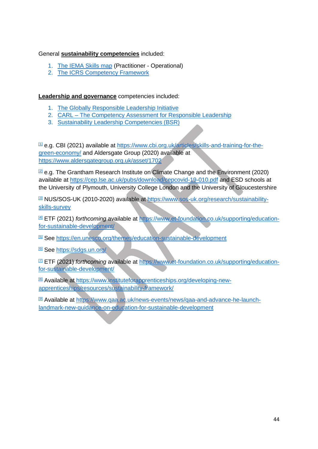### General **sustainability competencies** included:

- 1. [The IEMA Skills map](https://www.iema.net/sustainability-skills-map) (Practitioner Operational)
- 2. [The ICRS Competency Framework](https://icrs.info/cpd/competency-framework)

**Leadership and governance** competencies included:

- 1. [The Globally Responsible Leadership Initiative](https://grli.org/resources/grnow/)
- 2. CARL [The Competency Assessment for Responsible Leadership](https://carl2030.org/)
- 3. [Sustainability Leadership Competencies \(BSR\)](https://www.bsr.org/reports/BSR_Sustainability_Leadership_Competencies.pdf)

 $11$  e.g. CBI (2021) available at [https://www.cbi.org.uk/articles/skills-and-training-for-the](https://www.cbi.org.uk/articles/skills-and-training-for-the-green-economy/)[green-economy/](https://www.cbi.org.uk/articles/skills-and-training-for-the-green-economy/) and Aldersgate Group (2020) available at <https://www.aldersgategroup.org.uk/asset/1702>

 $\mathbb{Z}$  e.g. The Grantham Research Institute on Climate Change and the Environment (2020) available at<https://cep.lse.ac.uk/pubs/download/cepcovid-19-010.pdf> and ESD schools at the University of Plymouth, University College London and the University of Gloucestershire

[\[3\]](https://ukc-word-edit.officeapps.live.com/we/wordeditorframe.aspx?ui=en%2DUS&rs=en%2DUS&wopisrc=https%3A%2F%2Fetfoundation-my.sharepoint.com%2Fpersonal%2Fdebbie_grace_etfoundation_co_uk%2F_vti_bin%2Fwopi.ashx%2Ffiles%2F49065d28f8cb4ee39c6f6302c6dde118&wdprevioussession=faf63ae5%2D2e87%2D4cad%2Dbb5a%2D6cd84c304db5&wdenableroaming=1&mscc=1&wdodb=1&hid=2660FA9F-508A-3000-4790-724ED7688349&wdorigin=Other&jsapi=1&jsapiver=v1&newsession=1&corrid=ac833b4b-faee-1ccc-3a73-7de03a30dbb9&usid=ac833b4b-faee-1ccc-3a73-7de03a30dbb9&sftc=1&mtf=1&sfp=1&instantedit=1&wopicomplete=1&wdredirectionreason=Unified_SingleFlush&preseededsessionkey=edea7e76-bb26-48f2-41fd-4019152e2ad7&preseededwacsessionid=ac833b4b-faee-1ccc-3a73-7de03a30dbb9&rct=Medium&ctp=LeastProtected#_ftnref3) NUS/SOS-UK (2010-2020) available at [https://www.sos-uk.org/research/sustainability](https://www.sos-uk.org/research/sustainability-skills-survey)[skills-survey](https://www.sos-uk.org/research/sustainability-skills-survey)

[\[4\]](https://ukc-word-edit.officeapps.live.com/we/wordeditorframe.aspx?ui=en%2DUS&rs=en%2DUS&wopisrc=https%3A%2F%2Fetfoundation-my.sharepoint.com%2Fpersonal%2Fdebbie_grace_etfoundation_co_uk%2F_vti_bin%2Fwopi.ashx%2Ffiles%2F49065d28f8cb4ee39c6f6302c6dde118&wdprevioussession=faf63ae5%2D2e87%2D4cad%2Dbb5a%2D6cd84c304db5&wdenableroaming=1&mscc=1&wdodb=1&hid=2660FA9F-508A-3000-4790-724ED7688349&wdorigin=Other&jsapi=1&jsapiver=v1&newsession=1&corrid=ac833b4b-faee-1ccc-3a73-7de03a30dbb9&usid=ac833b4b-faee-1ccc-3a73-7de03a30dbb9&sftc=1&mtf=1&sfp=1&instantedit=1&wopicomplete=1&wdredirectionreason=Unified_SingleFlush&preseededsessionkey=edea7e76-bb26-48f2-41fd-4019152e2ad7&preseededwacsessionid=ac833b4b-faee-1ccc-3a73-7de03a30dbb9&rct=Medium&ctp=LeastProtected#_ftnref4) ETF (2021) *forthcoming* available at [https://www.et-foundation.co.uk/supporting/education](https://www.et-foundation.co.uk/supporting/education-for-sustainable-development/)[for-sustainable-development/](https://www.et-foundation.co.uk/supporting/education-for-sustainable-development/)

[\[5\]](https://ukc-word-edit.officeapps.live.com/we/wordeditorframe.aspx?ui=en%2DUS&rs=en%2DUS&wopisrc=https%3A%2F%2Fetfoundation-my.sharepoint.com%2Fpersonal%2Fdebbie_grace_etfoundation_co_uk%2F_vti_bin%2Fwopi.ashx%2Ffiles%2F49065d28f8cb4ee39c6f6302c6dde118&wdprevioussession=faf63ae5%2D2e87%2D4cad%2Dbb5a%2D6cd84c304db5&wdenableroaming=1&mscc=1&wdodb=1&hid=2660FA9F-508A-3000-4790-724ED7688349&wdorigin=Other&jsapi=1&jsapiver=v1&newsession=1&corrid=ac833b4b-faee-1ccc-3a73-7de03a30dbb9&usid=ac833b4b-faee-1ccc-3a73-7de03a30dbb9&sftc=1&mtf=1&sfp=1&instantedit=1&wopicomplete=1&wdredirectionreason=Unified_SingleFlush&preseededsessionkey=edea7e76-bb26-48f2-41fd-4019152e2ad7&preseededwacsessionid=ac833b4b-faee-1ccc-3a73-7de03a30dbb9&rct=Medium&ctp=LeastProtected#_ftnref5) See<https://en.unesco.org/themes/education-sustainable-development>

[\[6\]](https://ukc-word-edit.officeapps.live.com/we/wordeditorframe.aspx?ui=en%2DUS&rs=en%2DUS&wopisrc=https%3A%2F%2Fetfoundation-my.sharepoint.com%2Fpersonal%2Fdebbie_grace_etfoundation_co_uk%2F_vti_bin%2Fwopi.ashx%2Ffiles%2F49065d28f8cb4ee39c6f6302c6dde118&wdprevioussession=faf63ae5%2D2e87%2D4cad%2Dbb5a%2D6cd84c304db5&wdenableroaming=1&mscc=1&wdodb=1&hid=2660FA9F-508A-3000-4790-724ED7688349&wdorigin=Other&jsapi=1&jsapiver=v1&newsession=1&corrid=ac833b4b-faee-1ccc-3a73-7de03a30dbb9&usid=ac833b4b-faee-1ccc-3a73-7de03a30dbb9&sftc=1&mtf=1&sfp=1&instantedit=1&wopicomplete=1&wdredirectionreason=Unified_SingleFlush&preseededsessionkey=edea7e76-bb26-48f2-41fd-4019152e2ad7&preseededwacsessionid=ac833b4b-faee-1ccc-3a73-7de03a30dbb9&rct=Medium&ctp=LeastProtected#_ftnref6) See<https://sdgs.un.org/>

[\[7\]](https://ukc-word-edit.officeapps.live.com/we/wordeditorframe.aspx?ui=en%2DUS&rs=en%2DUS&wopisrc=https%3A%2F%2Fetfoundation-my.sharepoint.com%2Fpersonal%2Fdebbie_grace_etfoundation_co_uk%2F_vti_bin%2Fwopi.ashx%2Ffiles%2F49065d28f8cb4ee39c6f6302c6dde118&wdprevioussession=faf63ae5%2D2e87%2D4cad%2Dbb5a%2D6cd84c304db5&wdenableroaming=1&mscc=1&wdodb=1&hid=2660FA9F-508A-3000-4790-724ED7688349&wdorigin=Other&jsapi=1&jsapiver=v1&newsession=1&corrid=ac833b4b-faee-1ccc-3a73-7de03a30dbb9&usid=ac833b4b-faee-1ccc-3a73-7de03a30dbb9&sftc=1&mtf=1&sfp=1&instantedit=1&wopicomplete=1&wdredirectionreason=Unified_SingleFlush&preseededsessionkey=edea7e76-bb26-48f2-41fd-4019152e2ad7&preseededwacsessionid=ac833b4b-faee-1ccc-3a73-7de03a30dbb9&rct=Medium&ctp=LeastProtected#_ftnref7) ETF (2021) *forthcoming* available at [https://www.et-foundation.co.uk/supporting/education](https://www.et-foundation.co.uk/supporting/education-for-sustainable-development/)[for-sustainable-development/](https://www.et-foundation.co.uk/supporting/education-for-sustainable-development/)

[\[8\]](https://ukc-word-edit.officeapps.live.com/we/wordeditorframe.aspx?ui=en%2DUS&rs=en%2DUS&wopisrc=https%3A%2F%2Fetfoundation-my.sharepoint.com%2Fpersonal%2Fdebbie_grace_etfoundation_co_uk%2F_vti_bin%2Fwopi.ashx%2Ffiles%2F49065d28f8cb4ee39c6f6302c6dde118&wdprevioussession=faf63ae5%2D2e87%2D4cad%2Dbb5a%2D6cd84c304db5&wdenableroaming=1&mscc=1&wdodb=1&hid=2660FA9F-508A-3000-4790-724ED7688349&wdorigin=Other&jsapi=1&jsapiver=v1&newsession=1&corrid=ac833b4b-faee-1ccc-3a73-7de03a30dbb9&usid=ac833b4b-faee-1ccc-3a73-7de03a30dbb9&sftc=1&mtf=1&sfp=1&instantedit=1&wopicomplete=1&wdredirectionreason=Unified_SingleFlush&preseededsessionkey=edea7e76-bb26-48f2-41fd-4019152e2ad7&preseededwacsessionid=ac833b4b-faee-1ccc-3a73-7de03a30dbb9&rct=Medium&ctp=LeastProtected#_ftnref8) Available at [https://www.instituteforapprenticeships.org/developing-new](https://www.instituteforapprenticeships.org/developing-new-apprenticeships/resources/sustainability-framework/)[apprenticeships/resources/sustainability-framework/](https://www.instituteforapprenticeships.org/developing-new-apprenticeships/resources/sustainability-framework/)

[\[9\]](https://ukc-word-edit.officeapps.live.com/we/wordeditorframe.aspx?ui=en%2DUS&rs=en%2DUS&wopisrc=https%3A%2F%2Fetfoundation-my.sharepoint.com%2Fpersonal%2Fdebbie_grace_etfoundation_co_uk%2F_vti_bin%2Fwopi.ashx%2Ffiles%2F49065d28f8cb4ee39c6f6302c6dde118&wdprevioussession=faf63ae5%2D2e87%2D4cad%2Dbb5a%2D6cd84c304db5&wdenableroaming=1&mscc=1&wdodb=1&hid=2660FA9F-508A-3000-4790-724ED7688349&wdorigin=Other&jsapi=1&jsapiver=v1&newsession=1&corrid=ac833b4b-faee-1ccc-3a73-7de03a30dbb9&usid=ac833b4b-faee-1ccc-3a73-7de03a30dbb9&sftc=1&mtf=1&sfp=1&instantedit=1&wopicomplete=1&wdredirectionreason=Unified_SingleFlush&preseededsessionkey=edea7e76-bb26-48f2-41fd-4019152e2ad7&preseededwacsessionid=ac833b4b-faee-1ccc-3a73-7de03a30dbb9&rct=Medium&ctp=LeastProtected#_ftnref9) Available at [https://www.qaa.ac.uk/news-events/news/qaa-and-advance-he-launch](https://www.qaa.ac.uk/news-events/news/qaa-and-advance-he-launch-landmark-new-guidance-on-education-for-sustainable-development)[landmark-new-guidance-on-education-for-sustainable-development](https://www.qaa.ac.uk/news-events/news/qaa-and-advance-he-launch-landmark-new-guidance-on-education-for-sustainable-development)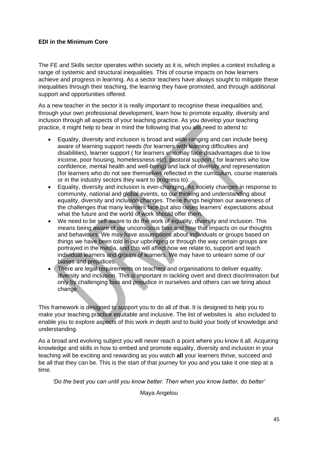### **EDI in the Minimum Core**

The FE and Skills sector operates within society as it is, which implies a context including a range of systemic and structural inequalities. This of course impacts on how learners achieve and progress in learning. As a sector teachers have always sought to mitigate these inequalities through their teaching, the learning they have promoted, and through additional support and opportunities offered.

As a new teacher in the sector it is really important to recognise these inequalities and, through your own professional development, learn how to promote equality, diversity and inclusion through all aspects of your teaching practice. As you develop your teaching practice, it might help to bear in mind the following that you will need to attend to:

- Equality, diversity and inclusion is broad and wide-ranging and can include being aware of learning support needs (for learners with learning difficulties and disabilities), learner support ( for learners who may face disadvantages due to low income, poor housing, homelessness etc), pastoral support ( for learners who low confidence, mental health and well-being) and lack of diversity and representation (for learners who do not see themselves reflected in the curriculum, course materials or in the industry sectors they want to progress to).
- Equality, diversity and inclusion is ever-changing. As society changes in response to community, national and global events, so our thinking and understanding about equality, diversity and inclusion changes. These things heighten our awareness of the challenges that many learners face but also raises learners' expectations about what the future and the world of work should offer them.
- We need to be self-aware to do the work of equality, diversity and inclusion. This means being aware of our unconscious bias and how that impacts on our thoughts and behaviours. We may have assumptions about individuals or groups based on things we have been told in our upbringing or through the way certain groups are portrayed in the media, and this will affect how we relate to, support and teach individual learners and groups of learners. We may have to unlearn some of our biases and prejudices.
- There are legal requirements on teachers and organisations to deliver equality, diversity and inclusion. This is important in tackling overt and direct discrimination but only by challenging bias and prejudice in ourselves and others can we bring about change.

This framework is designed to support you to do all of that. It is designed to help you to make your teaching practice equitable and inclusive. The list of websites is also included to enable you to explore aspects of this work in depth and to build your body of knowledge and understanding.

As a broad and evolving subject you will never reach a point where you know it all. Acquiring knowledge and skills in how to embed and promote equality, diversity and inclusion in your teaching will be exciting and rewarding as you watch **all** your learners thrive, succeed and be all that they can be. This is the start of that journey for you and you take it one step at a time.

*'Do the best you can until you know better. Then when you know better, do better'*

Maya Angelou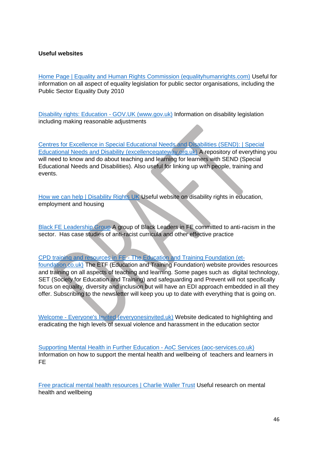#### **Useful websites**

[Home Page | Equality and Human Rights Commission \(equalityhumanrights.com\)](https://www.equalityhumanrights.com/en?msclkid=9e9e4301b03911ec900262994f9ad3a1) Useful for information on all aspect of equality legislation for public sector organisations, including the Public Sector Equality Duty 2010

[Disability rights: Education -](https://www.gov.uk/rights-disabled-person/education-rights) GOV.UK (www.gov.uk) Information on disability legislation including making reasonable adjustments

[Centres for Excellence in Special Educational Needs and Disabilities \(SEND\): | Special](https://send.excellencegateway.org.uk/centres-for-excellence?msclkid=55aae8dbb03a11ec980323d186b8a9b5)  [Educational Needs and Disability \(excellencegateway.org.uk\)](https://send.excellencegateway.org.uk/centres-for-excellence?msclkid=55aae8dbb03a11ec980323d186b8a9b5) A repository of everything you will need to know and do about teaching and learning for learners with SEND (Special Educational Needs and Disabilities). Also useful for linking up with people, training and events.

[How we can help | Disability Rights UK](https://www.disabilityrightsuk.org/how-we-can-help?msclkid=03e212beb03a11ecb8fd04b9d2a88651) Useful website on disability rights in education, employment and housing

[Black FE Leadership Group](http://blackfeleadership.com/?msclkid=e12a28f6b03a11ec9ae74352f6785706) A group of Black Leaders in FE committed to anti-racism in the sector. Has case studies of anti-racist curricula and other effective practice

#### CPD training and resources in FE - [The Education and Training Foundation \(et-](https://www.et-foundation.co.uk/?msclkid=7640bc24b03b11ec92dd3659cbe4cde4)

[foundation.co.uk\)](https://www.et-foundation.co.uk/?msclkid=7640bc24b03b11ec92dd3659cbe4cde4) The ETF (Education and Training Foundation) website provides resources and training on all aspects of teaching and learning. Some pages such as digital technology, SET (Society for Education and Training) and safeguarding and Prevent will not specifically focus on equality, diversity and inclusion but will have an EDI approach embedded in all they offer. Subscribing to the newsletter will keep you up to date with everything that is going on.

Welcome - [Everyone's Invited \(everyonesinvited.uk\)](https://www.everyonesinvited.uk/?msclkid=a8113243b03c11ecb1c4614661c51e76) Website dedicated to highlighting and eradicating the high levels of sexual violence and harassment in the education sector

[Supporting Mental Health in Further Education -](https://www.aoc-services.co.uk/mentalhealthinfe/?msclkid=777d572eb03d11ecaab48d518ceda739) AoC Services (aoc-services.co.uk) Information on how to support the mental health and wellbeing of teachers and learners in FE

[Free practical mental health resources | Charlie Waller Trust](https://charliewaller.org/resources?msclkid=1f341bb4b04011ec85e90e6e2aab460e) Useful research on mental health and wellbeing